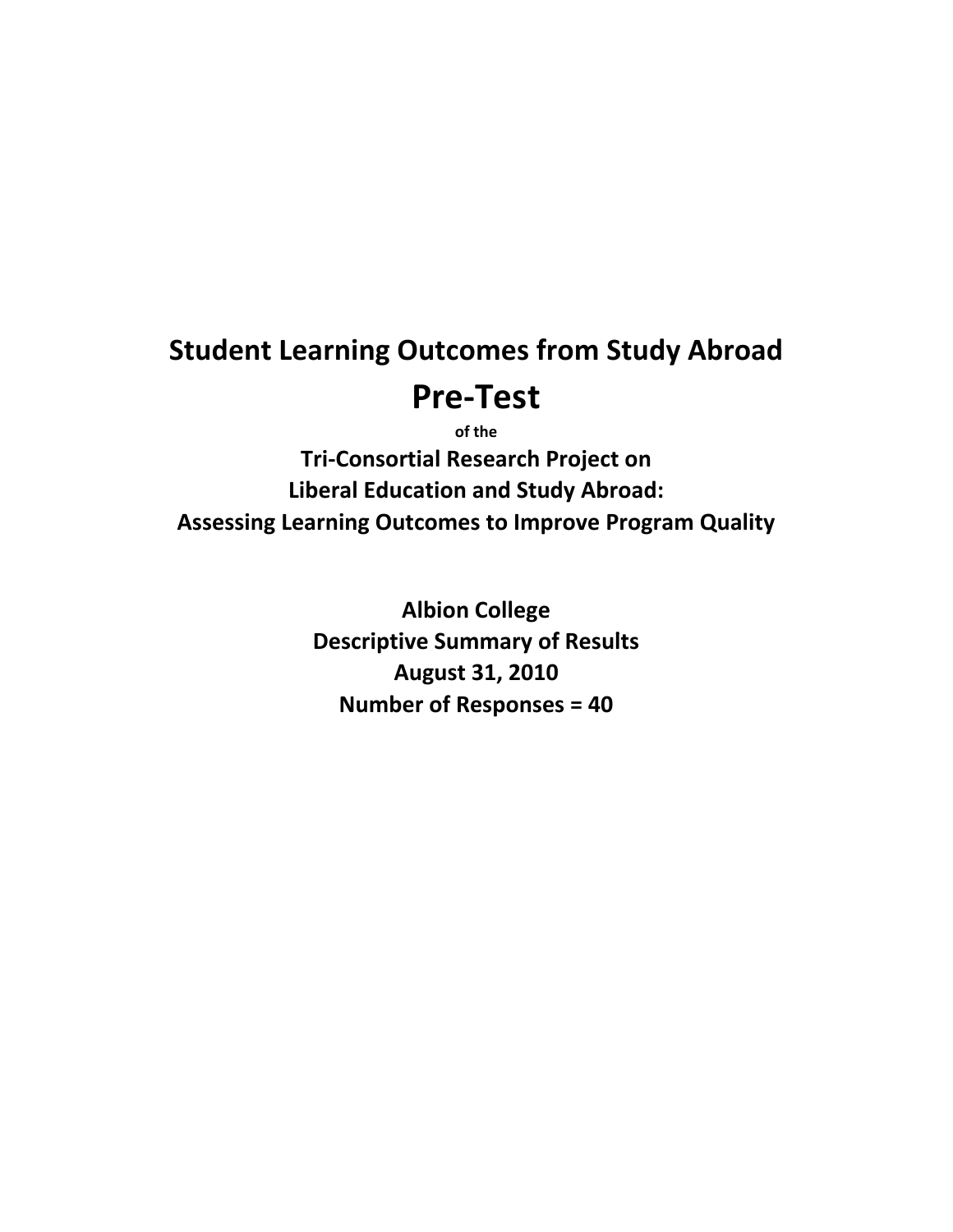# **Student Learning Outcomes from Study Abroad Pre‐Test**

**of the Tri‐Consortial Research Project on Liberal Education and Study Abroad: Assessing Learning Outcomes to Improve Program Quality**

> **Albion College Descriptive Summary of Results August 31, 2010 Number of Responses = 40**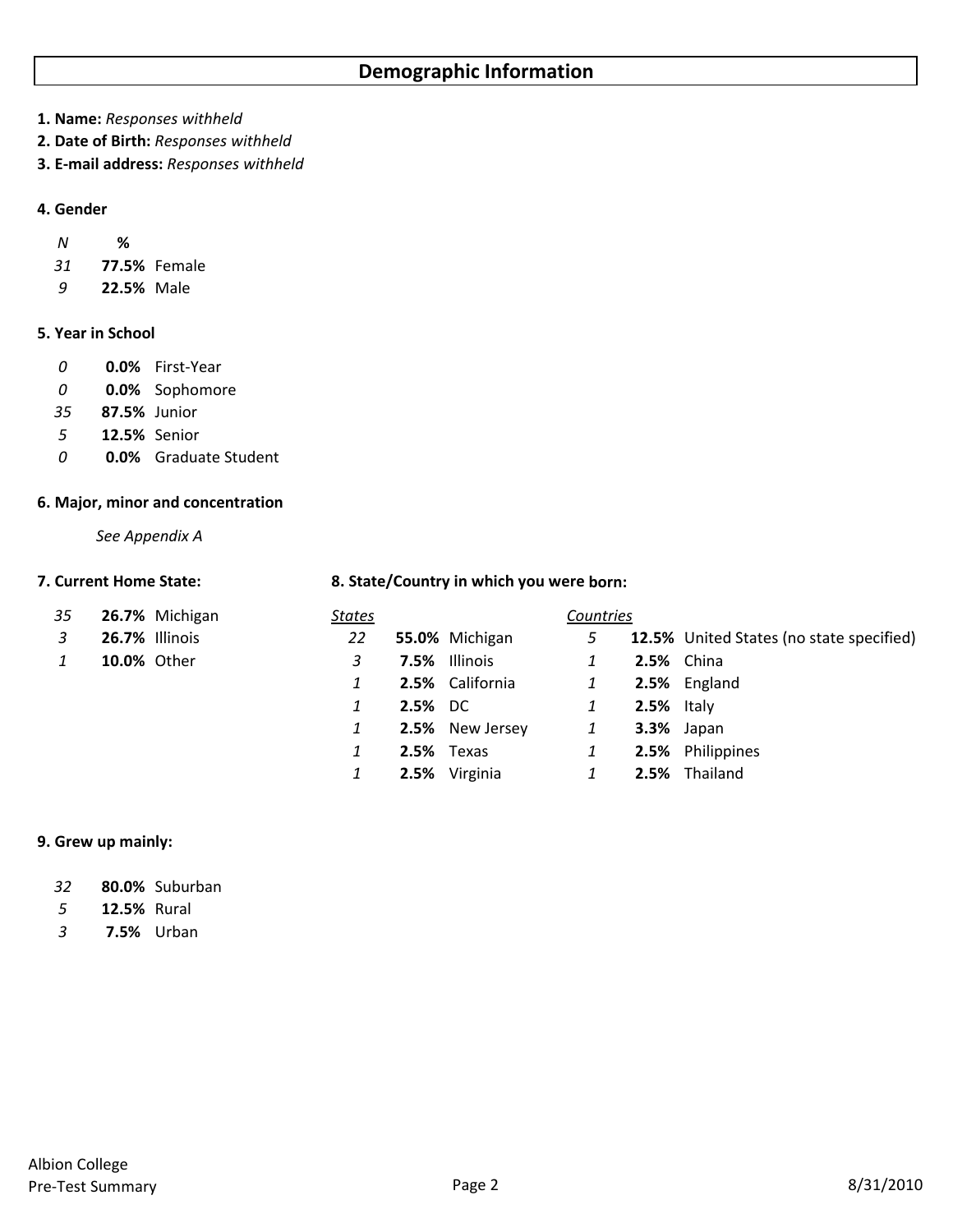**1. Name:** *Responses withheld*

**2. Date of Birth:** *Responses withheld* 

**3. E‐mail address:** *Responses withheld*

# **4. Gender**

| Ν | ℅ |
|---|---|
|   |   |

- *31* **77.5%** Female
- *9* **22.5%** Male

# **5. Year in School**

- *0* **0.0%** First‐Year
- *0* **0.0%** Sophomore
- *35* **87.5%** Junior
- *5* **12.5%** Senior
- *0* **0.0%** Graduate Student

# **6. Major, minor and concentration**

*See Appendix A*

# **7. Current Home State: 8. State/Country in which you were born:**

| 35           |                    | 26.7% Michigan | <u>States</u> |                |                 | Countries    |                   |                                          |
|--------------|--------------------|----------------|---------------|----------------|-----------------|--------------|-------------------|------------------------------------------|
| 3            | 26.7% Illinois     |                | 22            |                | 55.0% Michigan  | 5            |                   | 12.5% United States (no state specified) |
| $\mathbf{1}$ | <b>10.0% Other</b> |                | 3             |                | 7.5% Illinois   | 1            | <b>2.5%</b> China |                                          |
|              |                    |                |               |                | 2.5% California | 1            |                   | 2.5% England                             |
|              |                    |                |               | <b>2.5%</b> DC |                 | 1            | <b>2.5%</b> Italy |                                          |
|              |                    |                |               |                | 2.5% New Jersey | $\mathbf{1}$ | <b>3.3%</b> Japan |                                          |
|              |                    |                |               | 2.5% Texas     |                 | 1            |                   | 2.5% Philippines                         |
|              |                    |                |               |                | 2.5% Virginia   | $\mathbf{1}$ |                   | 2.5% Thailand                            |

# **9. Grew up mainly:**

| 32 | 80.0% Suburban |
|----|----------------|
|----|----------------|

*5* **12.5%** Rural

*3* **7.5%** Urban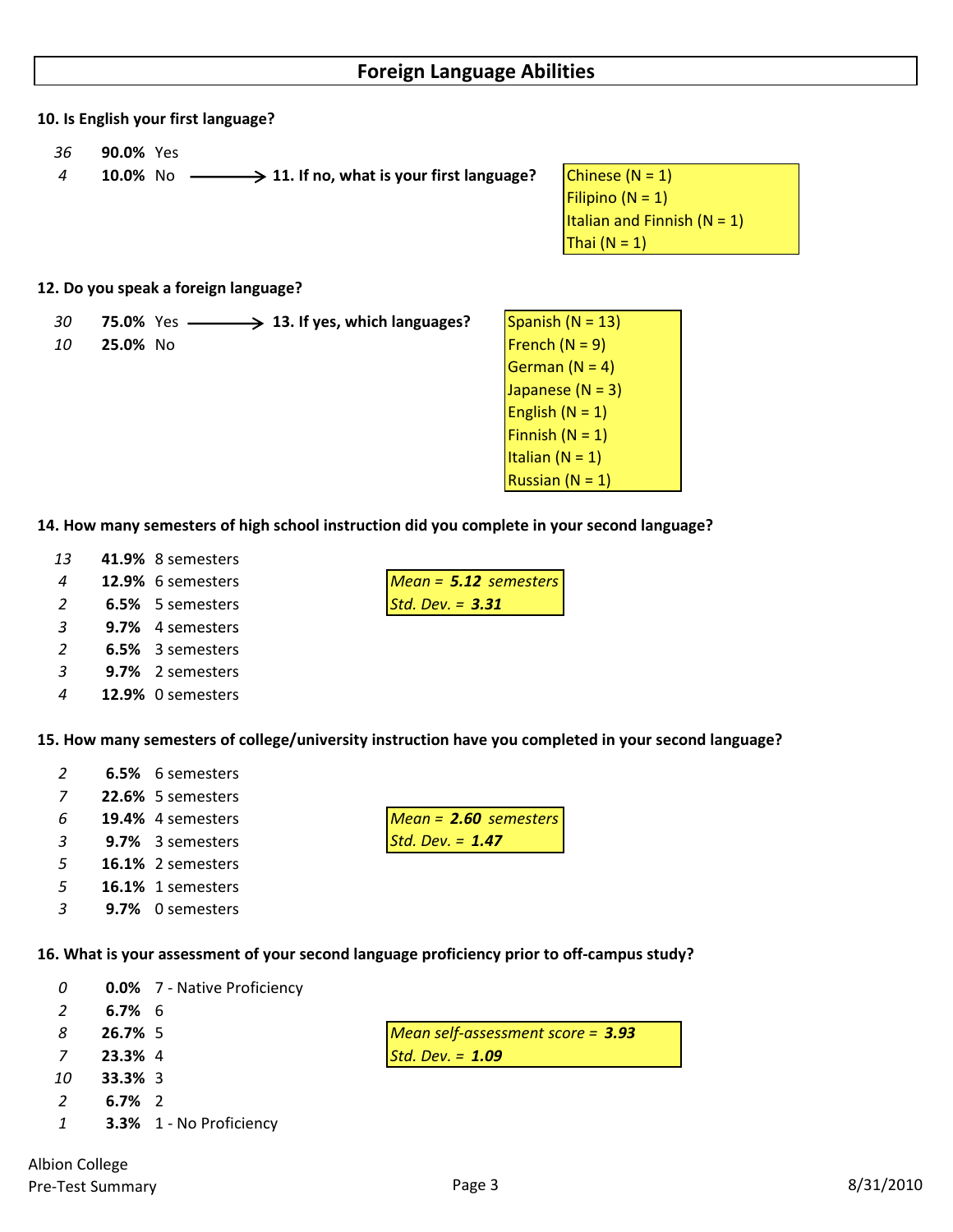# **10. Is English your first language?**

- *36* **90.0%** Yes
- **10.0%** No  $\longrightarrow$  **11.** If no, what is your first language? Chinese (N = 1)
	- Filipino  $(N = 1)$ Italian and Finnish  $(N = 1)$ Thai  $(N = 1)$

#### **12. Do you speak a foreign language?**

- **13. 13. If yes,** which **languages?** Spanish (N = 13) **25.0%** No French (N = 9)
- German  $(N = 4)$ Japanese  $(N = 3)$ English  $(N = 1)$ Finnish  $(N = 1)$ Italian  $(N = 1)$ **Russian (N = 1)**

# **14. How many semesters of high school instruction did you complete in your second language?**

- *13* **41.9%** 8 semesters
- *4* **12.9%** 6 semesters *Mean = 5.12 semesters*
- *2* **6.5%** 5 semesters *Std. Dev. = 3.31*
- *3* **9.7%** 4 semesters
- *2* **6.5%** 3 semesters
- *3* **9.7%** 2 semesters
- *4* **12.9%** 0 semesters

**15. How many semesters of college/university instruction have you completed in your second language?**

- *2* **6.5%** 6 semesters
- *7* **22.6%** 5 semesters
- 
- *3* **9.7%** 3 semesters *Std. Dev. = 1.47*
- *5* **16.1%** 2 semesters
- *5* **16.1%** 1 semesters
- *3* **9.7%** 0 semesters

**16. What is your assessment of your second language proficiency prior to off‐campus study?**

- *0* **0.0%** 7 ‐ Native Proficiency
- *2* **6.7%** 6
- *8* **26.7%** 5 *Mean self‐assessment score = 3.93*
- *7* **23.3%** 4 *Std. Dev. = 1.09*
- *10* **33.3%** 3
- *2* **6.7%** 2
- *1* **3.3%** 1 ‐ No Proficiency

*6* **19.4%** 4 semesters *Mean = 2.60 semesters*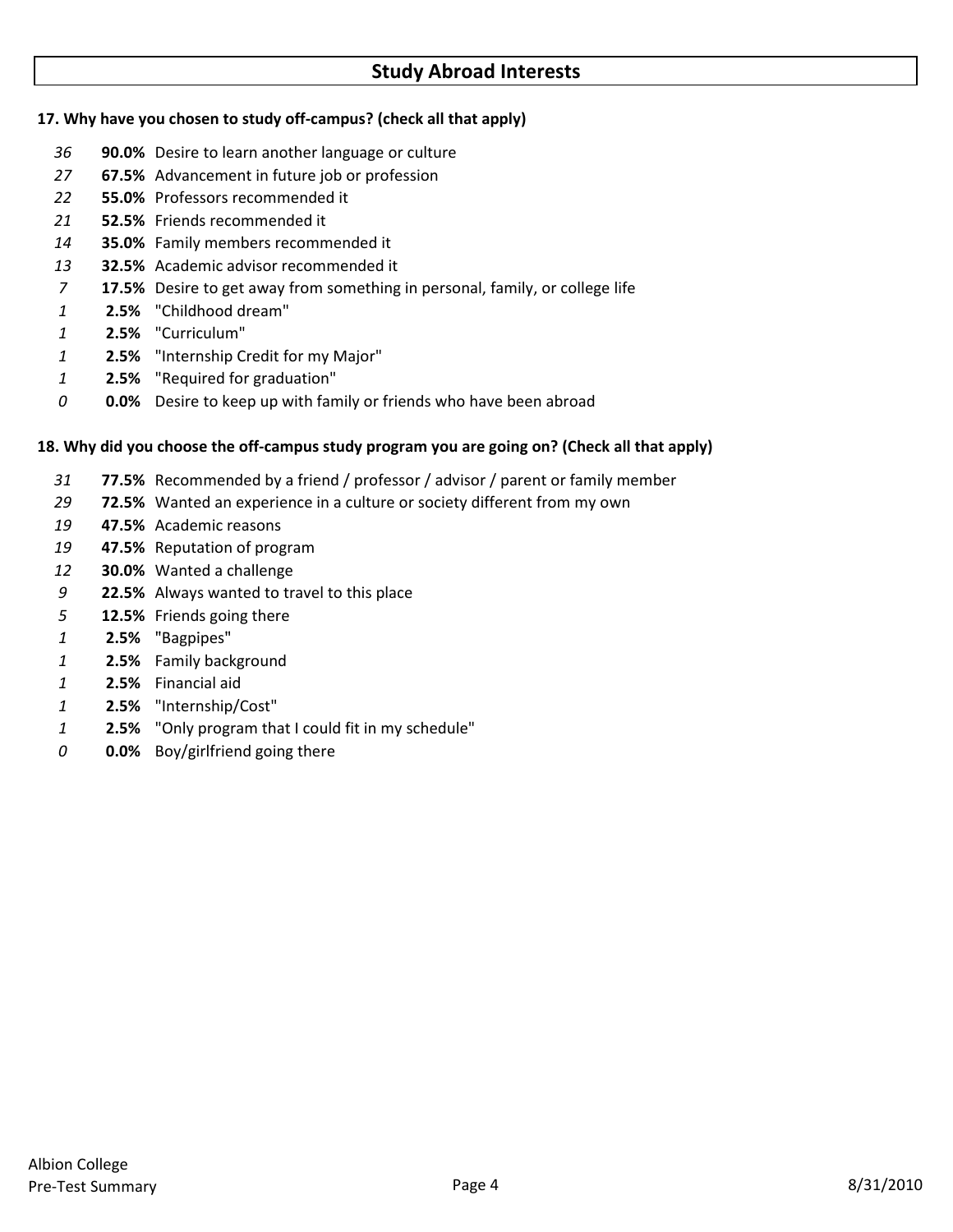# **Study Abroad Interests**

# **17. Why have you chosen to study off‐campus? (check all that apply)**

- **90.0%** Desire to learn another language or culture
- **67.5%** Advancement in future job or profession
- **55.0%** Professors recommended it
- **52.5%** Friends recommended it
- **35.0%** Family members recommended it
- **32.5%** Academic advisor recommended it
- **17.5%** Desire to get away from something in personal, family, or college life
- **2.5%** "Childhood dream"
- **2.5%** "Curriculum"
- **2.5%** "Internship Credit for my Major"
- **2.5%** "Required for graduation"
- **0.0%** Desire to keep up with family or friends who have been abroad

# 18. Why did you choose the off-campus study program you are going on? (Check all that apply)

- **77.5%** Recommended by a friend / professor / advisor / parent or family member
- **72.5%** Wanted an experience in a culture or society different from my own
- **47.5%** Academic reasons
- **47.5%** Reputation of program
- **30.0%** Wanted a challenge
- **22.5%** Always wanted to travel to this place
- **12.5%** Friends going there
- **2.5%** "Bagpipes"
- **2.5%** Family background
- **2.5%** Financial aid
- **2.5%** "Internship/Cost"
- **2.5%** "Only program that I could fit in my schedule"
- **0.0%** Boy/girlfriend going there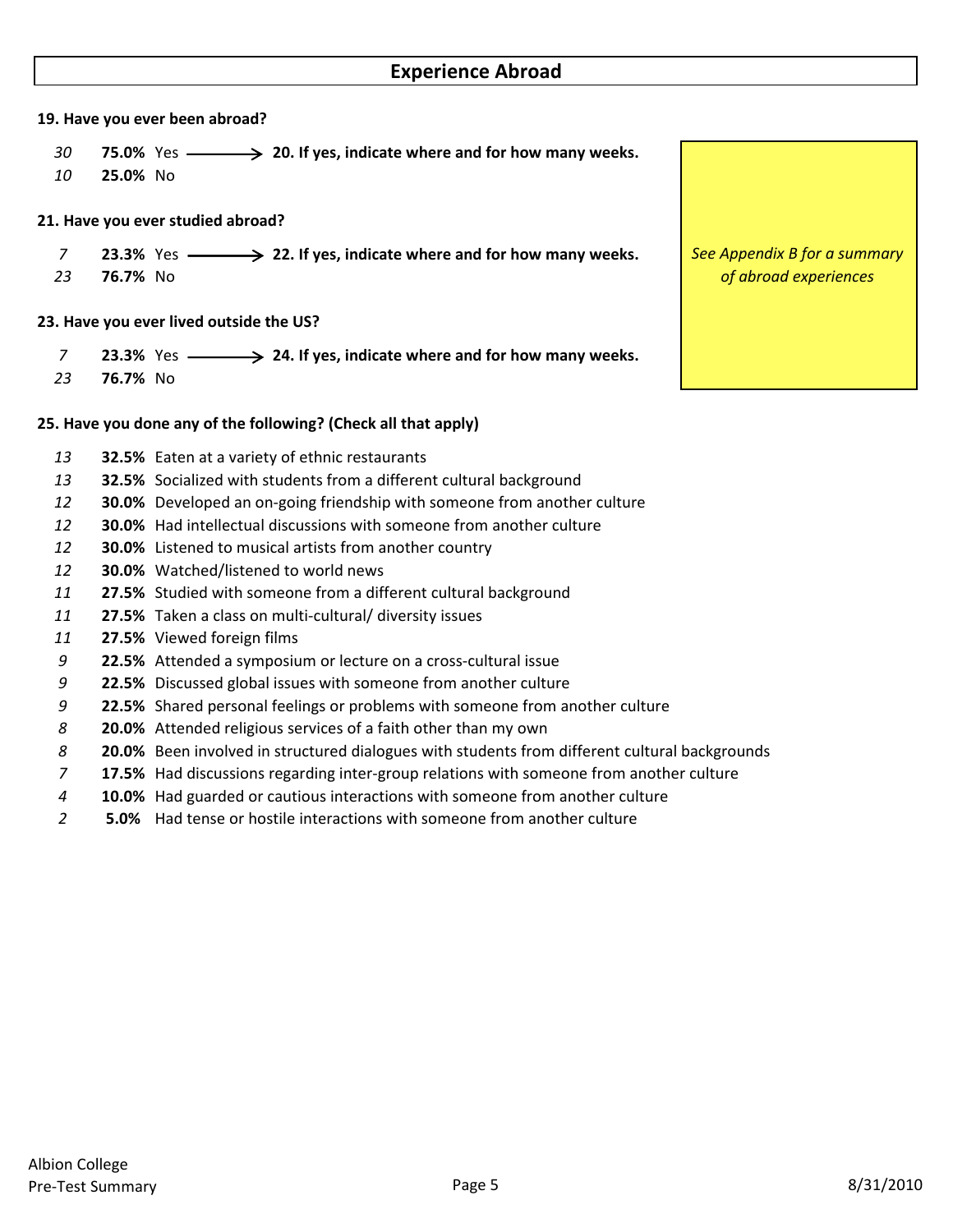# **Experience Abroad**

#### **19. Have you ever been abroad?**

- **75.0%** Yes **20. If yes, indicate where and for how many weeks.**
- **25.0%** No

# **21. Have you ever studied abroad?**

- **23.3%** Yes **22. If yes, indicate where and for how many weeks.**
- **76.7%** No

# **23. Have you ever lived outside the US?**

- **23.3%** Yes **24. If yes, indicate where and for how many weeks.**
- **76.7%** No

# **25. Have you done any of the following? (Check all that apply)**

- **32.5%** Eaten at a variety of ethnic restaurants
- **32.5%** Socialized with students from a different cultural background
- **30.0%** Developed an on‐going friendship with someone from another culture
- **30.0%** Had intellectual discussions with someone from another culture
- **30.0%** Listened to musical artists from another country
- **30.0%** Watched/listened to world news
- **27.5%** Studied with someone from a different cultural background
- **27.5%** Taken a class on multi‐cultural/ diversity issues
- **27.5%** Viewed foreign films
- **22.5%** Attended a symposium or lecture on a cross‐cultural issue
- **22.5%** Discussed global issues with someone from another culture
- **22.5%** Shared personal feelings or problems with someone from another culture
- **20.0%** Attended religious services of a faith other than my own
- **20.0%** Been involved in structured dialogues with students from different cultural backgrounds
- **17.5%** Had discussions regarding inter‐group relations with someone from another culture
- **10.0%** Had guarded or cautious interactions with someone from another culture
- **5.0%** Had tense or hostile interactions with someone from another culture

*See Appendix B for a summary of abroad experiences*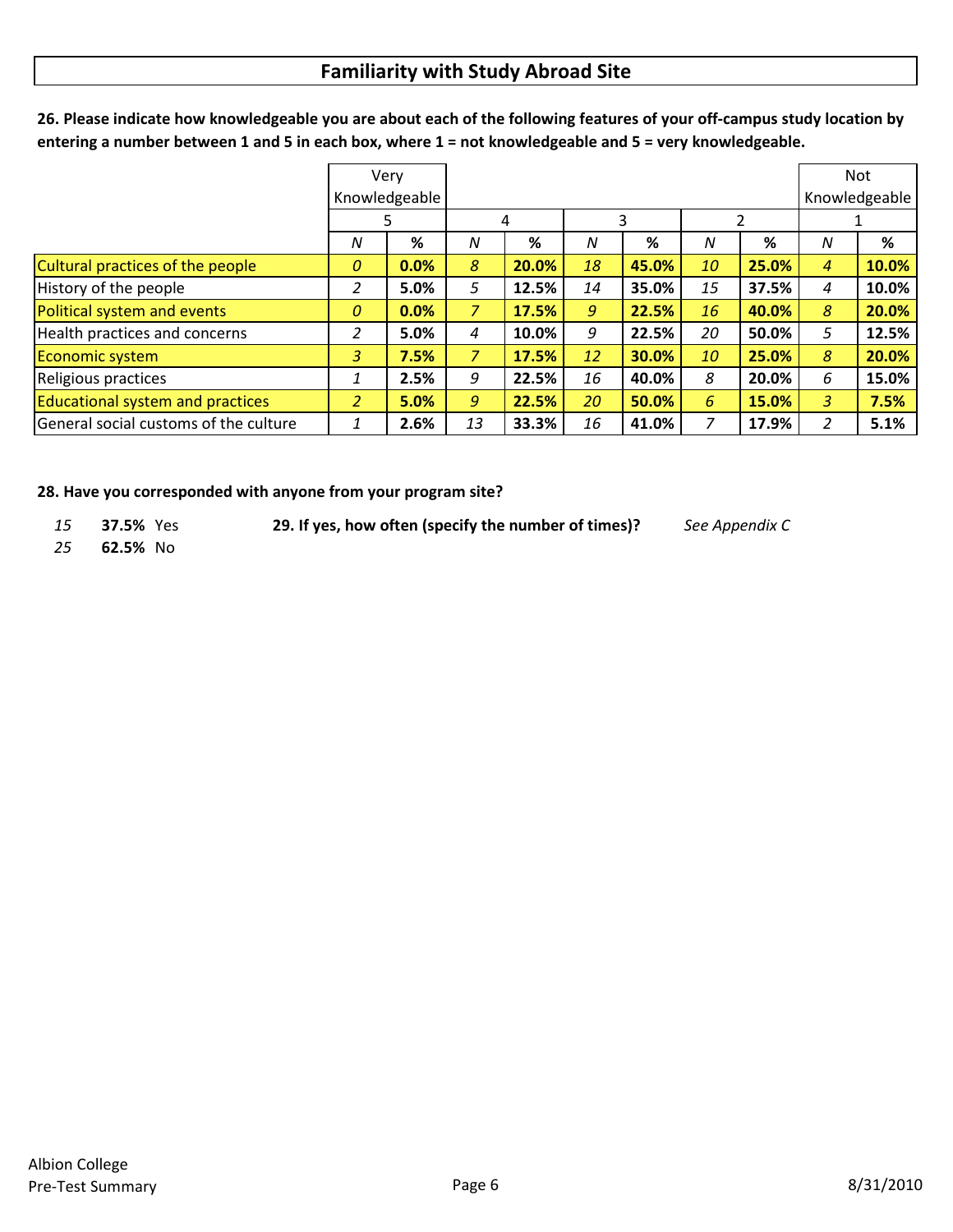# **Familiarity with Study Abroad Site**

*N* **%** *N* **%** *N* **%** *N* **%** *N* **%** Cultural practices of the people *0* **0.0%** *8* **20.0%** *18* **45.0%** *10* **25.0%** *4* **10.0%** History of the people *2* **5.0%** *5* **12.5%** *14* **35.0%** *15* **37.5%** *4* **10.0%** Political system and events *0* **0.0%** *7* **17.5%** *9* **22.5%** *16* **40.0%** *8* **20.0%** Health practices and concerns *2* **5.0%** *4* **10.0%** *9* **22.5%** *20* **50.0%** *5* **12.5%** Economic system *3* **7.5%** *7* **17.5%** *12* **30.0%** *10* **25.0%** *8* **20.0%** Religious practices *1* **2.5%** *9* **22.5%** *16* **40.0%** *8* **20.0%** *6* **15.0%** Educational system and practices *2* **5.0%** *9* **22.5%** *20* **50.0%** *6* **15.0%** *3* **7.5%** General social customs of the culture *1* **2.6%** *13* **33.3%** *16* **41.0%** *7* **17.9%** *2* **5.1%** Very Knowledgeable Not Knowledgeable 5 | 4 | 3 | 2 | 1

26. Please indicate how knowledgeable you are about each of the following features of your off-campus study location by entering a number between 1 and 5 in each box, where  $1 =$  not knowledgeable and  $5 =$  very knowledgeable.

**28. Have you corresponded with anyone from your program site?**

- *15* **37.5%** Yes **29. If yes, how often (specify the number of times)?** *See Appendix C*
- *25* **62.5%** No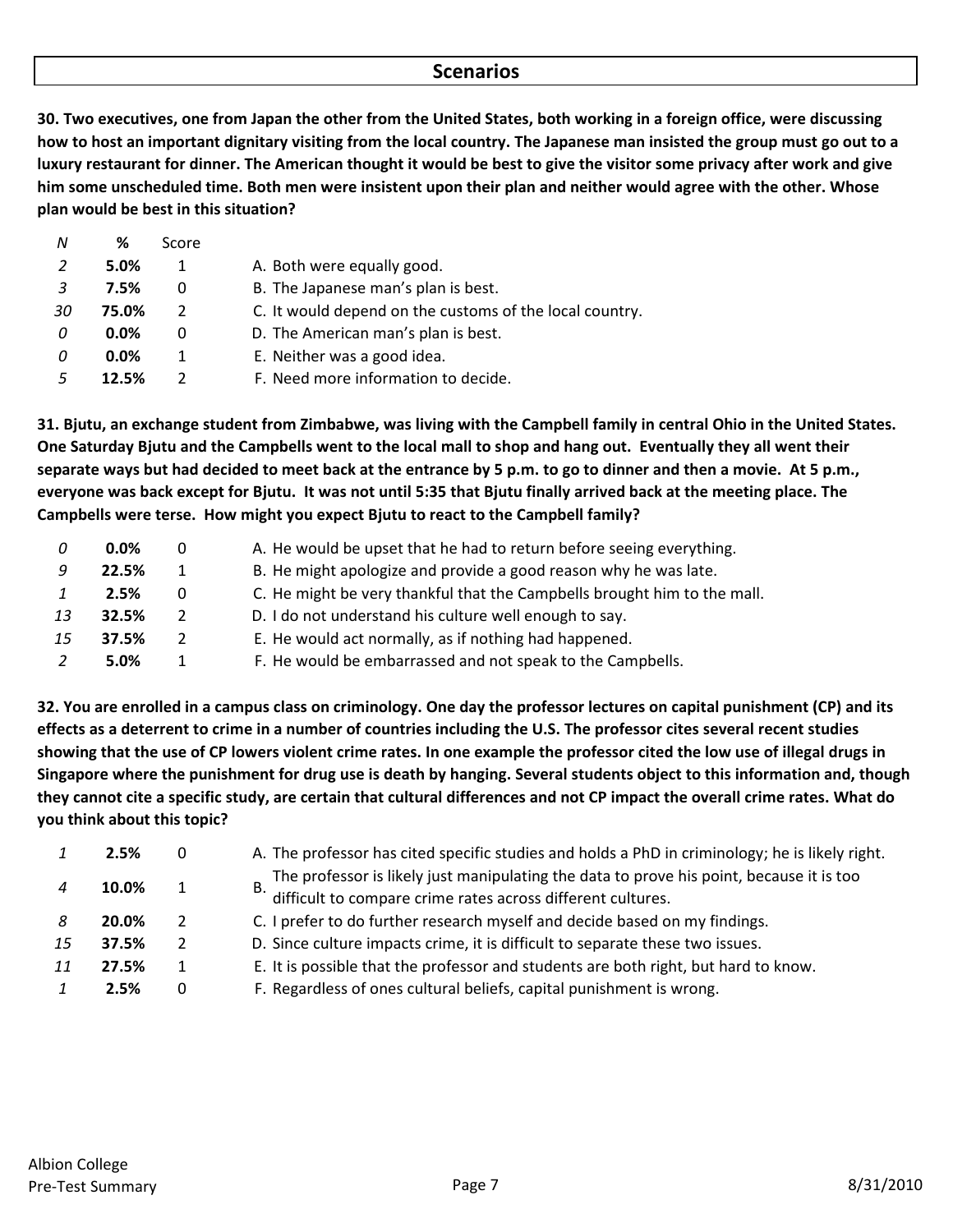# **Scenarios**

30. Two executives, one from Japan the other from the United States, both working in a foreign office, were discussing how to host an important dignitary visiting from the local country. The Japanese man insisted the group must go out to a luxury restaurant for dinner. The American thought it would be best to give the visitor some privacy after work and give him some unscheduled time. Both men were insistent upon their plan and neither would agree with the other. Whose **plan would be best in this situation?**

| N  | %       | Score |                                                         |
|----|---------|-------|---------------------------------------------------------|
| 2  | 5.0%    | 1     | A. Both were equally good.                              |
| -3 | 7.5%    | 0     | B. The Japanese man's plan is best.                     |
| 30 | 75.0%   | 2     | C. It would depend on the customs of the local country. |
| 0  | 0.0%    | 0     | D. The American man's plan is best.                     |
| 0  | $0.0\%$ | 1     | E. Neither was a good idea.                             |
|    | 12.5%   |       | F. Need more information to decide.                     |

31. Bjutu, an exchange student from Zimbabwe, was living with the Campbell family in central Ohio in the United States. One Saturday Bjutu and the Campbells went to the local mall to shop and hang out. Eventually they all went their separate ways but had decided to meet back at the entrance by 5 p.m. to go to dinner and then a movie. At 5 p.m., everyone was back except for Bjutu. It was not until 5:35 that Bjutu finally arrived back at the meeting place. The **Campbells were terse. How might you expect Bjutu to react to the Campbell family?**

|    | $0.0\%$ | 0             | A. He would be upset that he had to return before seeing everything.     |
|----|---------|---------------|--------------------------------------------------------------------------|
| 9  | 22.5%   | 1             | B. He might apologize and provide a good reason why he was late.         |
|    | 2.5%    | $\Omega$      | C. He might be very thankful that the Campbells brought him to the mall. |
| 13 | 32.5%   | $\mathcal{P}$ | D. I do not understand his culture well enough to say.                   |
| 15 | 37.5%   | 2             | E. He would act normally, as if nothing had happened.                    |
|    | 5.0%    |               | F. He would be embarrassed and not speak to the Campbells.               |

32. You are enrolled in a campus class on criminology. One day the professor lectures on capital punishment (CP) and its effects as a deterrent to crime in a number of countries including the U.S. The professor cites several recent studies showing that the use of CP lowers violent crime rates. In one example the professor cited the low use of illegal drugs in Singapore where the punishment for drug use is death by hanging. Several students object to this information and, though they cannot cite a specific study, are certain that cultural differences and not CP impact the overall crime rates. What do **you think about this topic?**

|    | 2.5%  | 0             | A. The professor has cited specific studies and holds a PhD in criminology; he is likely right.                                                               |
|----|-------|---------------|---------------------------------------------------------------------------------------------------------------------------------------------------------------|
|    | 10.0% |               | The professor is likely just manipulating the data to prove his point, because it is too<br>В.<br>difficult to compare crime rates across different cultures. |
|    | 20.0% | $\mathcal{P}$ | C. I prefer to do further research myself and decide based on my findings.                                                                                    |
| 15 | 37.5% | 2             | D. Since culture impacts crime, it is difficult to separate these two issues.                                                                                 |
| 11 | 27.5% |               | E. It is possible that the professor and students are both right, but hard to know.                                                                           |
|    | 2.5%  | 0             | F. Regardless of ones cultural beliefs, capital punishment is wrong.                                                                                          |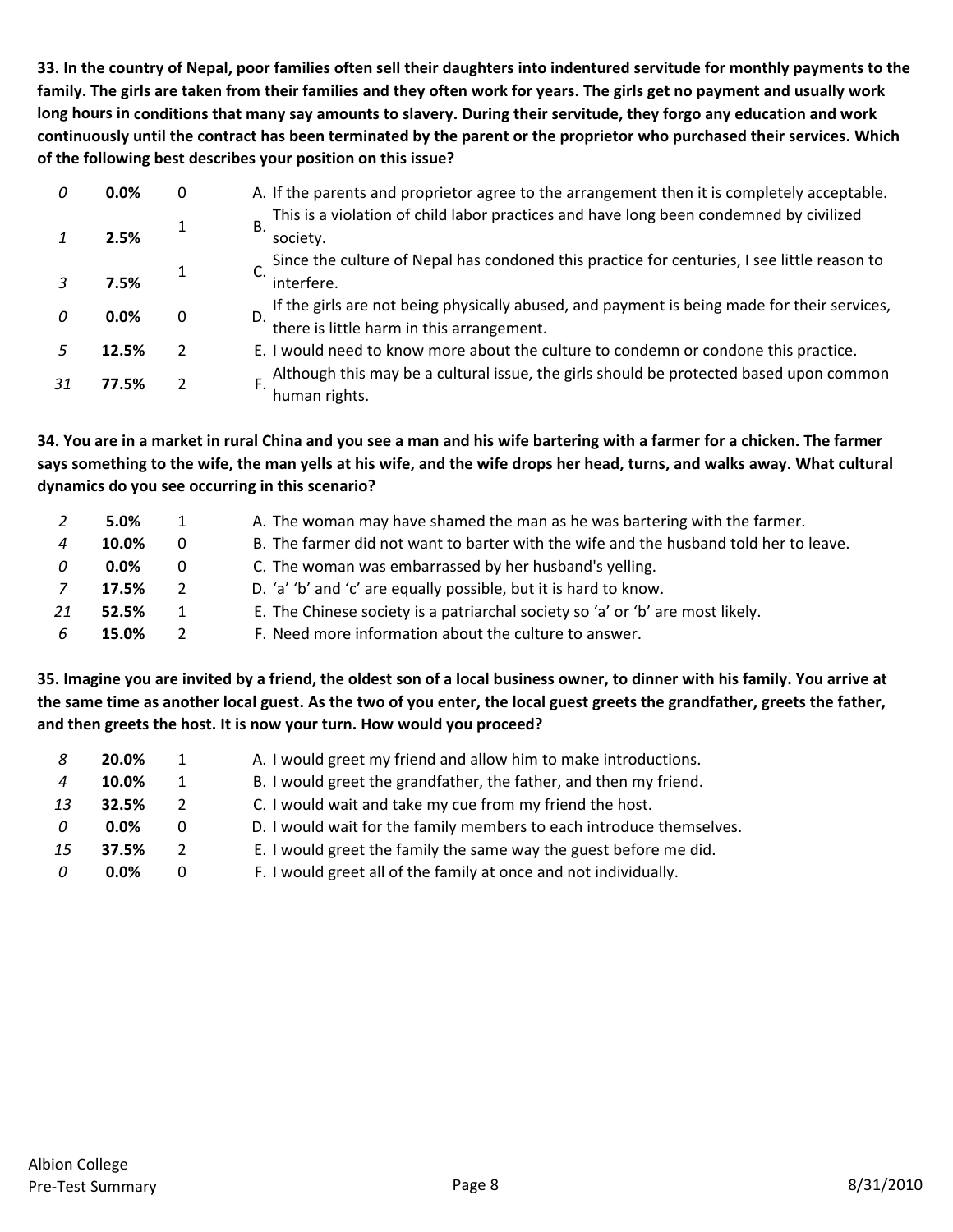33. In the country of Nepal, poor families often sell their daughters into indentured servitude for monthly payments to the family. The girls are taken from their families and they often work for years. The girls get no payment and usually work long hours in conditions that many say amounts to slavery. During their servitude, they forgo any education and work continuously until the contract has been terminated by the parent or the proprietor who purchased their services. Which **of the following best describes your position on this issue?**

| 0.0%    | 0              | A. If the parents and proprietor agree to the arrangement then it is completely acceptable.                                              |
|---------|----------------|------------------------------------------------------------------------------------------------------------------------------------------|
| 2.5%    |                | This is a violation of child labor practices and have long been condemned by civilized<br>В.<br>society.                                 |
|         |                | Since the culture of Nepal has condoned this practice for centuries, I see little reason to                                              |
| 7.5%    |                | interfere.                                                                                                                               |
| $0.0\%$ |                | If the girls are not being physically abused, and payment is being made for their services,<br>there is little harm in this arrangement. |
| 12.5%   | $\overline{2}$ | E. I would need to know more about the culture to condemn or condone this practice.                                                      |
| 77.5%   |                | Although this may be a cultural issue, the girls should be protected based upon common<br>human rights.                                  |

34. You are in a market in rural China and you see a man and his wife bartering with a farmer for a chicken. The farmer says something to the wife, the man yells at his wife, and the wife drops her head, turns, and walks away. What cultural **dynamics do you see occurring in this scenario?**

|    | 5.0%    |   | A. The woman may have shamed the man as he was bartering with the farmer.             |
|----|---------|---|---------------------------------------------------------------------------------------|
|    | 10.0%   | 0 | B. The farmer did not want to barter with the wife and the husband told her to leave. |
|    | $0.0\%$ | 0 | C. The woman was embarrassed by her husband's yelling.                                |
|    | 17.5%   |   | D. 'a' 'b' and 'c' are equally possible, but it is hard to know.                      |
| 21 | 52.5%   |   | E. The Chinese society is a patriarchal society so 'a' or 'b' are most likely.        |
| 6  | 15.0%   |   | F. Need more information about the culture to answer.                                 |

35. Imagine you are invited by a friend, the oldest son of a local business owner, to dinner with his family. You arrive at the same time as another local guest. As the two of you enter, the local guest greets the grandfather, greets the father, **and then greets the host. It is now your turn. How would you proceed?**

| -8                        | 20.0%   | 1             | A. I would greet my friend and allow him to make introductions.      |
|---------------------------|---------|---------------|----------------------------------------------------------------------|
| $\boldsymbol{\varLambda}$ | 10.0%   | 1             | B. I would greet the grandfather, the father, and then my friend.    |
| 13                        | 32.5%   | $\mathcal{P}$ | C. I would wait and take my cue from my friend the host.             |
| $\Omega$                  | $0.0\%$ | 0             | D. I would wait for the family members to each introduce themselves. |
| 15                        | 37.5%   | 2             | E. I would greet the family the same way the guest before me did.    |
| 0                         | $0.0\%$ | $\Omega$      | F. I would greet all of the family at once and not individually.     |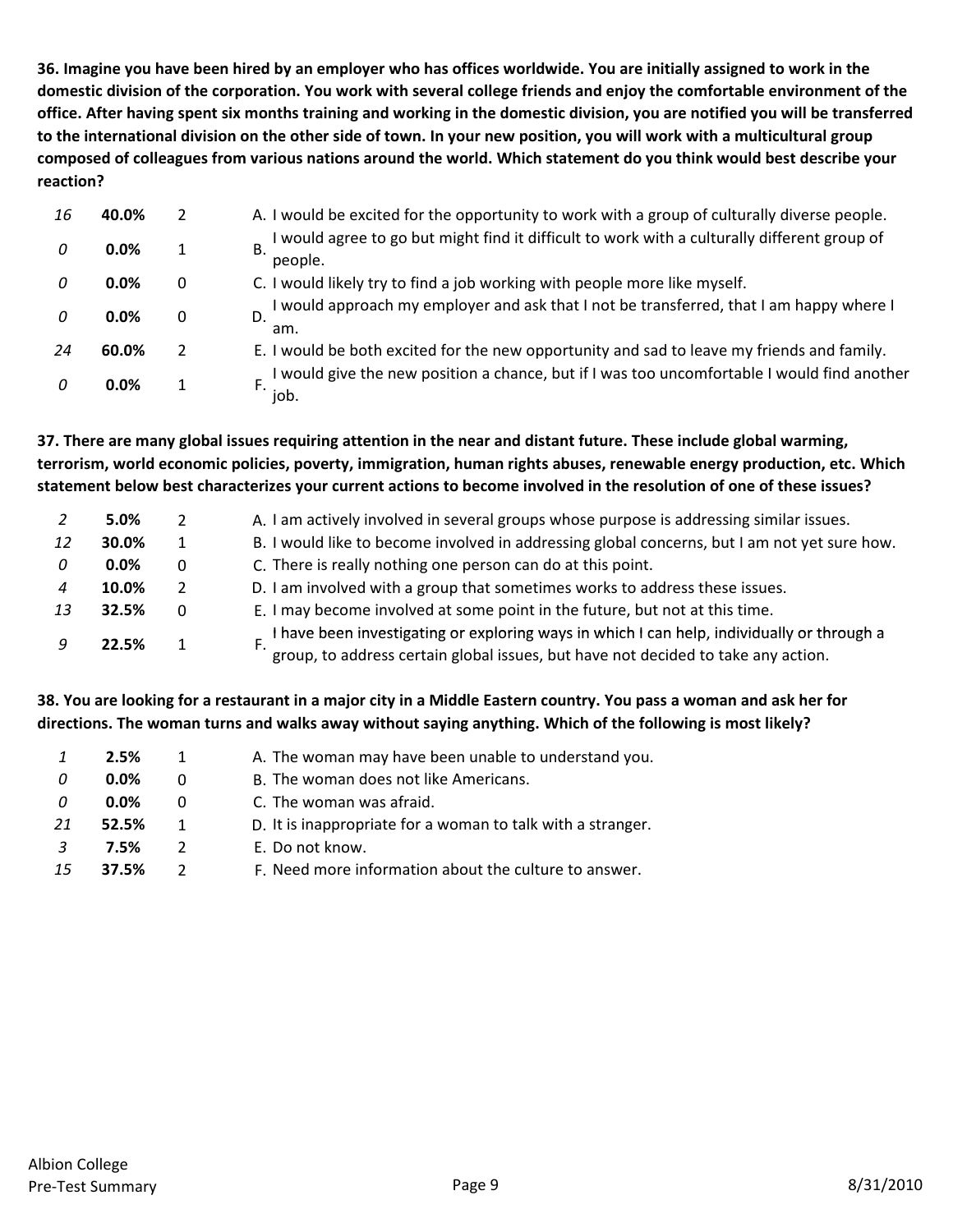36. Imagine you have been hired by an employer who has offices worldwide. You are initially assigned to work in the domestic division of the corporation. You work with several college friends and enjoy the comfortable environment of the office. After having spent six months training and working in the domestic division, you are notified you will be transferred to the international division on the other side of town. In your new position, you will work with a multicultural group composed of colleagues from various nations around the world. Which statement do you think would best describe your **reaction?**

| 16 | 40.0% |   | A. I would be excited for the opportunity to work with a group of culturally diverse people.            |
|----|-------|---|---------------------------------------------------------------------------------------------------------|
| 0  | 0.0%  |   | I would agree to go but might find it difficult to work with a culturally different group of<br>people. |
| 0  | 0.0%  | 0 | C. I would likely try to find a job working with people more like myself.                               |
| 0  | 0.0%  | 0 | I would approach my employer and ask that I not be transferred, that I am happy where I<br>D.<br>am.    |
| 24 | 60.0% |   | E. I would be both excited for the new opportunity and sad to leave my friends and family.              |
| 0  | 0.0%  |   | I would give the new position a chance, but if I was too uncomfortable I would find another<br>job.     |

37. There are many global issues requiring attention in the near and distant future. These include global warming, **terrorism, world economic policies, poverty, immigration, human rights abuses, renewable energy production, etc. Which** statement below best characterizes your current actions to become involved in the resolution of one of these issues?

|    | 5.0%    |          | A. I am actively involved in several groups whose purpose is addressing similar issues.                                                                                         |
|----|---------|----------|---------------------------------------------------------------------------------------------------------------------------------------------------------------------------------|
| 12 | 30.0%   |          | B. I would like to become involved in addressing global concerns, but I am not yet sure how.                                                                                    |
| 0  | $0.0\%$ | 0        | C. There is really nothing one person can do at this point.                                                                                                                     |
| 4  | 10.0%   |          | D. I am involved with a group that sometimes works to address these issues.                                                                                                     |
|    | 32.5%   | $\Omega$ | E. I may become involved at some point in the future, but not at this time.                                                                                                     |
|    | 22.5%   |          | I have been investigating or exploring ways in which I can help, individually or through a<br>group, to address certain global issues, but have not decided to take any action. |

# 38. You are looking for a restaurant in a major city in a Middle Eastern country. You pass a woman and ask her for directions. The woman turns and walks away without saying anything. Which of the following is most likely?

|    | 2.5%    | 1            | A. The woman may have been unable to understand you.        |
|----|---------|--------------|-------------------------------------------------------------|
| 0  | $0.0\%$ | 0            | B. The woman does not like Americans.                       |
| 0  | $0.0\%$ | 0            | C. The woman was afraid.                                    |
| 21 | 52.5%   | $\mathbf{1}$ | D. It is inappropriate for a woman to talk with a stranger. |
| 3  | 7.5%    | 2            | E. Do not know.                                             |
| 15 | 37.5%   |              | F. Need more information about the culture to answer.       |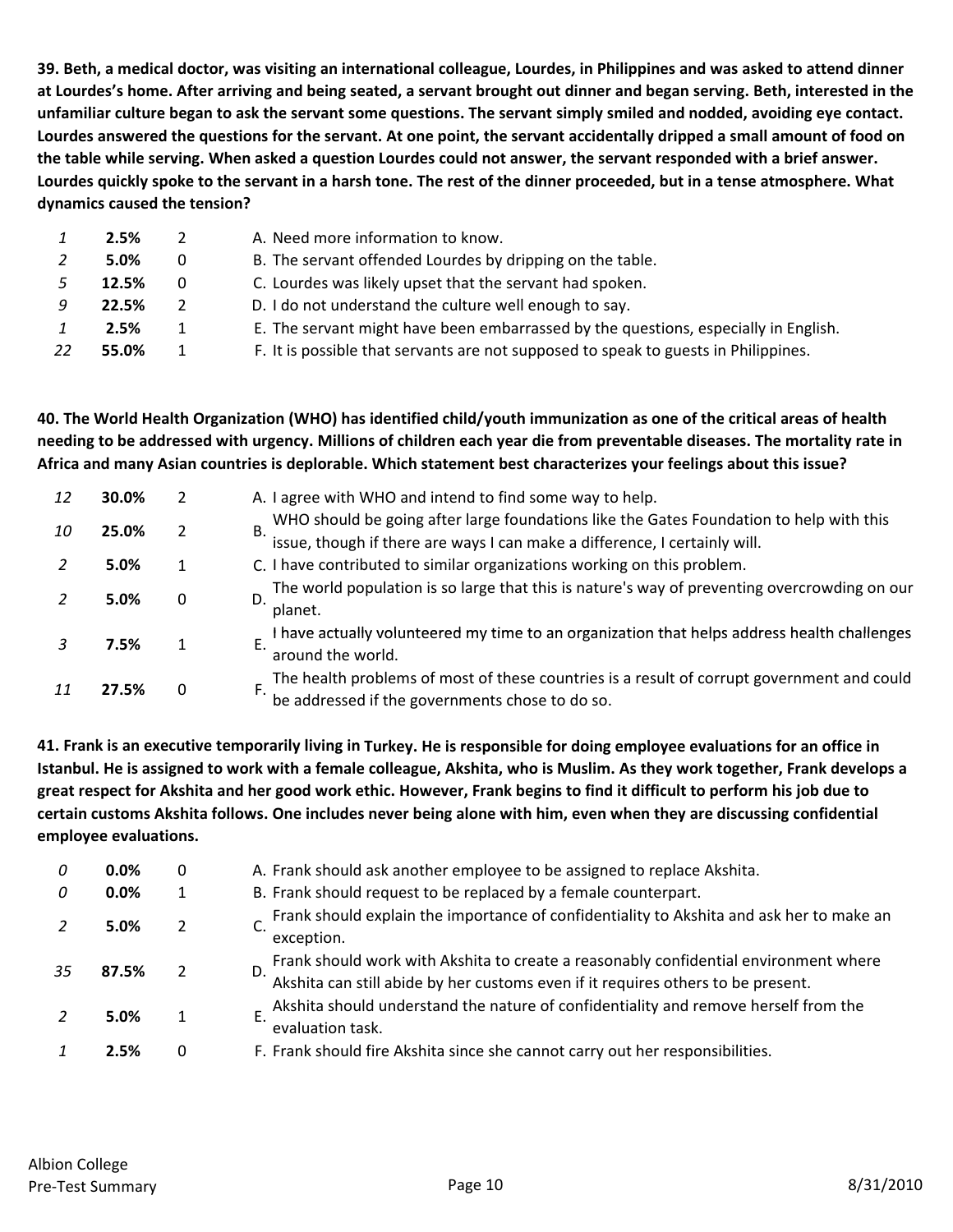39. Beth, a medical doctor, was visiting an international colleague, Lourdes, in Philippines and was asked to attend dinner at Lourdes's home. After arriving and being seated, a servant brought out dinner and began serving. Beth, interested in the unfamiliar culture began to ask the servant some questions. The servant simply smiled and nodded, avoiding eye contact. Lourdes answered the questions for the servant. At one point, the servant accidentally dripped a small amount of food on the table while serving. When asked a question Lourdes could not answer, the servant responded with a brief answer. Lourdes quickly spoke to the servant in a harsh tone. The rest of the dinner proceeded, but in a tense atmosphere. What **dynamics caused the tension?**

|    | 2.5%  |   | A. Need more information to know.                                                   |
|----|-------|---|-------------------------------------------------------------------------------------|
|    | 5.0%  | 0 | B. The servant offended Lourdes by dripping on the table.                           |
|    | 12.5% | 0 | C. Lourdes was likely upset that the servant had spoken.                            |
|    | 22.5% |   | D. I do not understand the culture well enough to say.                              |
|    | 2.5%  |   | E. The servant might have been embarrassed by the questions, especially in English. |
| 22 | 55.0% |   | F. It is possible that servants are not supposed to speak to guests in Philippines. |

40. The World Health Organization (WHO) has identified child/youth immunization as one of the critical areas of health needing to be addressed with urgency. Millions of children each year die from preventable diseases. The mortality rate in Africa and many Asian countries is deplorable. Which statement best characterizes your feelings about this issue?

| 12 | 30.0% |                | A. I agree with WHO and intend to find some way to help.                                                                                                                 |
|----|-------|----------------|--------------------------------------------------------------------------------------------------------------------------------------------------------------------------|
| 10 | 25.0% | $\overline{2}$ | WHO should be going after large foundations like the Gates Foundation to help with this issue, though if there are ways I can make a difference, I certainly will.<br>В. |
|    | 5.0%  |                | C. I have contributed to similar organizations working on this problem.                                                                                                  |
|    | 5.0%  |                | The world population is so large that this is nature's way of preventing overcrowding on our<br>D.<br>planet.                                                            |
|    | 7.5%  |                | I have actually volunteered my time to an organization that helps address health challenges<br>around the world.                                                         |
|    | 27.5% |                | The health problems of most of these countries is a result of corrupt government and could<br>be addressed if the governments chose to do so.                            |

41. Frank is an executive temporarily living in Turkey. He is responsible for doing employee evaluations for an office in Istanbul. He is assigned to work with a female colleague, Akshita, who is Muslim. As they work together, Frank develops a great respect for Akshita and her good work ethic. However, Frank begins to find it difficult to perform his job due to certain customs Akshita follows. One includes never being alone with him, even when they are discussing confidential **employee evaluations.**

| 0  | 0.0%  | 0             | A. Frank should ask another employee to be assigned to replace Akshita.                                                                                                        |
|----|-------|---------------|--------------------------------------------------------------------------------------------------------------------------------------------------------------------------------|
| 0  | 0.0%  |               | B. Frank should request to be replaced by a female counterpart.                                                                                                                |
|    | 5.0%  | 2             | Frank should explain the importance of confidentiality to Akshita and ask her to make an<br>exception.                                                                         |
| 35 | 87.5% | $\mathcal{P}$ | Frank should work with Akshita to create a reasonably confidential environment where<br>D.<br>Akshita can still abide by her customs even if it requires others to be present. |
|    | 5.0%  |               | Akshita should understand the nature of confidentiality and remove herself from the<br>evaluation task.                                                                        |
|    | 2.5%  | 0             | F. Frank should fire Akshita since she cannot carry out her responsibilities.                                                                                                  |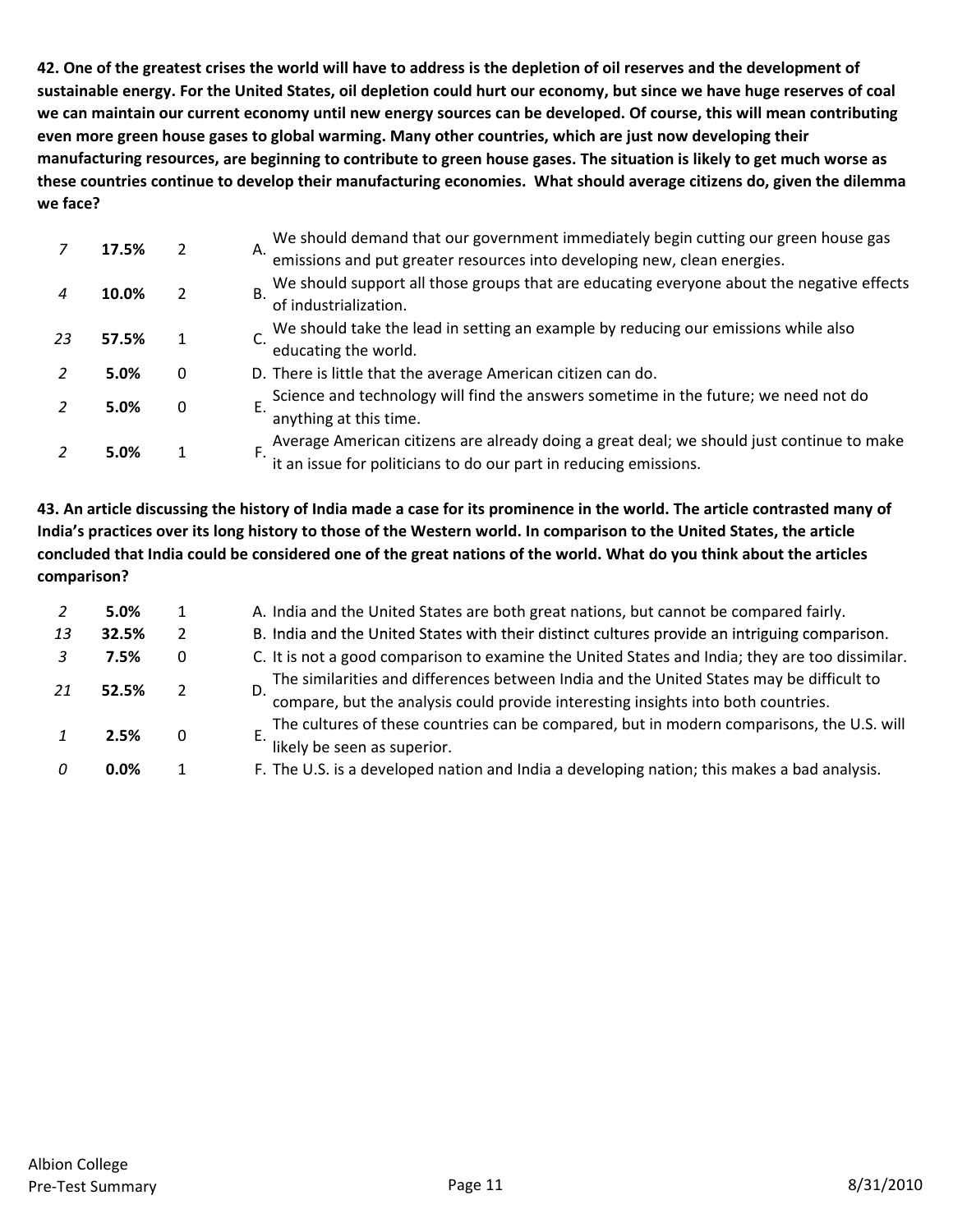42. One of the greatest crises the world will have to address is the depletion of oil reserves and the development of sustainable energy. For the United States, oil depletion could hurt our economy, but since we have huge reserves of coal we can maintain our current economy until new energy sources can be developed. Of course, this will mean contributing **even more green house gases to global warming. Many other countries, which are just now developing their** manufacturing resources, are beginning to contribute to green house gases. The situation is likely to get much worse as these countries continue to develop their manufacturing economies. What should average citizens do, given the dilemma **we face?**

|    | 17.5% |   | We should demand that our government immediately begin cutting our green house gas emissions and put greater resources into developing new, clean energies.<br>А. |
|----|-------|---|-------------------------------------------------------------------------------------------------------------------------------------------------------------------|
|    |       |   |                                                                                                                                                                   |
|    | 10.0% |   | We should support all those groups that are educating everyone about the negative effects<br>В.                                                                   |
|    |       |   | of industrialization.                                                                                                                                             |
| 23 | 57.5% |   | We should take the lead in setting an example by reducing our emissions while also                                                                                |
|    |       |   | educating the world.                                                                                                                                              |
|    | 5.0%  | 0 | D. There is little that the average American citizen can do.                                                                                                      |
|    |       |   | Science and technology will find the answers sometime in the future; we need not do                                                                               |
|    | 5.0%  | 0 | anything at this time.                                                                                                                                            |
|    |       |   |                                                                                                                                                                   |
|    | 5.0%  |   | Average American citizens are already doing a great deal; we should just continue to make it an issue for politicians to do our part in reducing emissions.       |

43. An article discussing the history of India made a case for its prominence in the world. The article contrasted many of India's practices over its long history to those of the Western world. In comparison to the United States, the article concluded that India could be considered one of the great nations of the world. What do you think about the articles **comparison?**

|    | 5.0%  |               | A. India and the United States are both great nations, but cannot be compared fairly.                                                                                      |
|----|-------|---------------|----------------------------------------------------------------------------------------------------------------------------------------------------------------------------|
| 13 | 32.5% | $\mathcal{P}$ | B. India and the United States with their distinct cultures provide an intriguing comparison.                                                                              |
|    | 7.5%  | 0             | C. It is not a good comparison to examine the United States and India; they are too dissimilar.                                                                            |
| 21 | 52.5% |               | The similarities and differences between India and the United States may be difficult to compare, but the analysis could provide interesting insights into both countries. |
|    | 2.5%  | 0             | The cultures of these countries can be compared, but in modern comparisons, the U.S. will<br>likely be seen as superior.                                                   |
|    | 0.0%  |               | F. The U.S. is a developed nation and India a developing nation; this makes a bad analysis.                                                                                |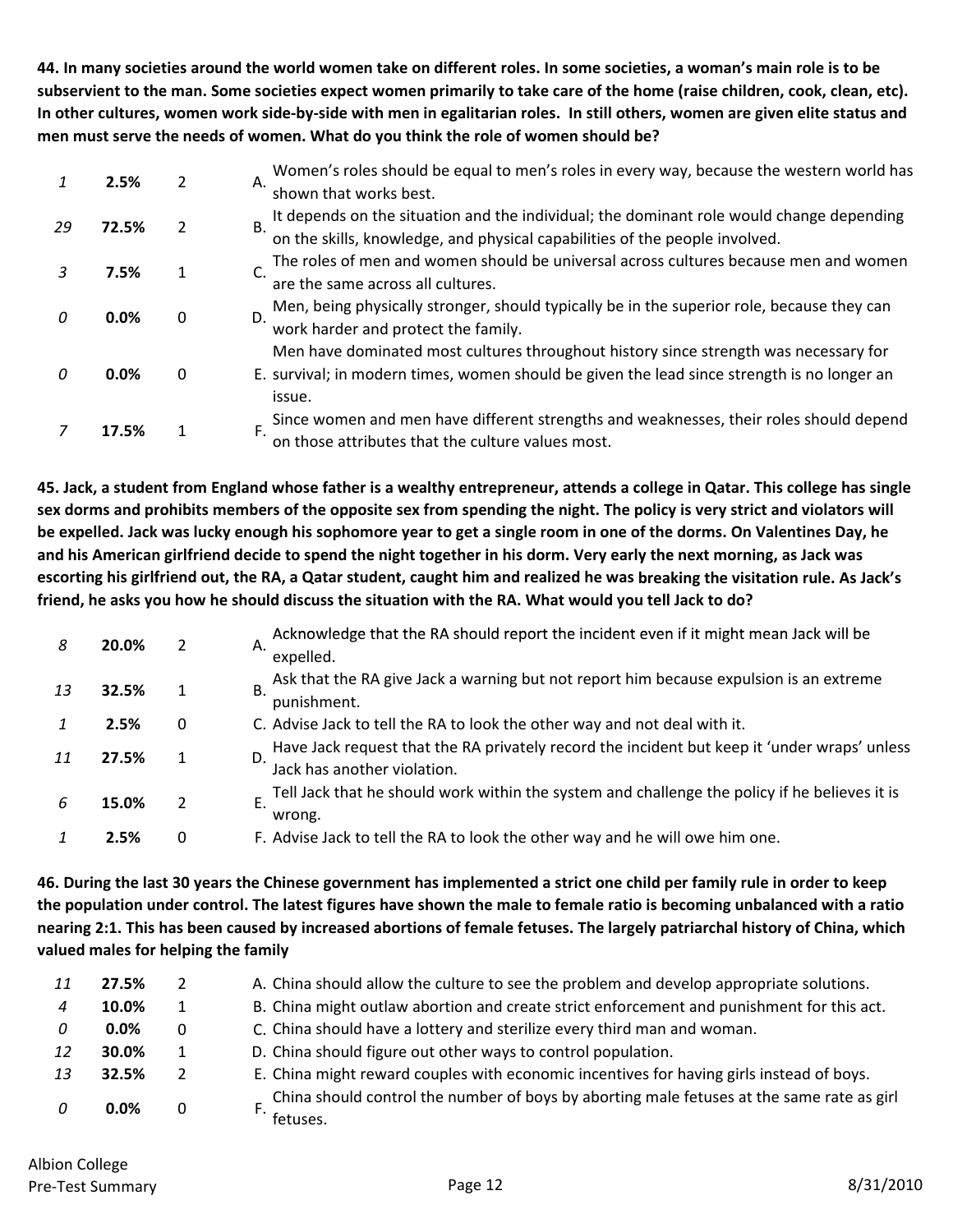44. In many societies around the world women take on different roles. In some societies, a woman's main role is to be subservient to the man. Some societies expect women primarily to take care of the home (raise children, cook, clean, etc). In other cultures, women work side-by-side with men in egalitarian roles. In still others, women are given elite status and **men must serve the needs of women. What do you think the role of women should be?**

|    | 2.5%  | 2        | Women's roles should be equal to men's roles in every way, because the western world has<br>Α.<br>shown that works best.                                                                      |
|----|-------|----------|-----------------------------------------------------------------------------------------------------------------------------------------------------------------------------------------------|
| 29 | 72.5% | 2        | It depends on the situation and the individual; the dominant role would change depending<br>on the skills, knowledge, and physical capabilities of the people involved.<br>B.                 |
|    | 7.5%  |          | The roles of men and women should be universal across cultures because men and women<br>are the same across all cultures.                                                                     |
| 0  | 0.0%  | $\Omega$ | Men, being physically stronger, should typically be in the superior role, because they can<br>D.<br>work harder and protect the family.                                                       |
|    | 0.0%  | 0        | Men have dominated most cultures throughout history since strength was necessary for<br>E. survival; in modern times, women should be given the lead since strength is no longer an<br>issue. |
|    | 17.5% |          | Since women and men have different strengths and weaknesses, their roles should depend<br>Ē.<br>on those attributes that the culture values most.                                             |

45. Jack, a student from England whose father is a wealthy entrepreneur, attends a college in Qatar. This college has single sex dorms and prohibits members of the opposite sex from spending the night. The policy is very strict and violators will be expelled. Jack was lucky enough his sophomore year to get a single room in one of the dorms. On Valentines Day, he and his American girlfriend decide to spend the night together in his dorm. Very early the next morning, as Jack was escorting his girlfriend out, the RA, a Qatar student, caught him and realized he was breaking the visitation rule. As Jack's friend, he asks you how he should discuss the situation with the RA. What would you tell Jack to do?

| 8  | 20.0% | 2 | Acknowledge that the RA should report the incident even if it might mean Jack will be<br>Α.<br>expelled.                          |
|----|-------|---|-----------------------------------------------------------------------------------------------------------------------------------|
| 13 | 32.5% |   | Ask that the RA give Jack a warning but not report him because expulsion is an extreme<br><b>B.</b><br>punishment.                |
|    | 2.5%  | 0 | C. Advise Jack to tell the RA to look the other way and not deal with it.                                                         |
| 11 | 27.5% |   | Have Jack request that the RA privately record the incident but keep it 'under wraps' unless<br>D.<br>Jack has another violation. |
| 6  | 15.0% | 2 | Tell Jack that he should work within the system and challenge the policy if he believes it is<br>Ε.<br>wrong.                     |
|    | 2.5%  | 0 | F. Advise Jack to tell the RA to look the other way and he will owe him one.                                                      |

46. During the last 30 years the Chinese government has implemented a strict one child per family rule in order to keep the population under control. The latest figures have shown the male to female ratio is becoming unbalanced with a ratio nearing 2:1. This has been caused by increased abortions of female fetuses. The largely patriarchal history of China, which **valued males for helping the family**

| 11 | 27.5% | 2        | A. China should allow the culture to see the problem and develop appropriate solutions.                 |
|----|-------|----------|---------------------------------------------------------------------------------------------------------|
|    | 10.0% | 1        | B. China might outlaw abortion and create strict enforcement and punishment for this act.               |
| 0  | 0.0%  | $\Omega$ | C. China should have a lottery and sterilize every third man and woman.                                 |
| 12 | 30.0% | 1        | D. China should figure out other ways to control population.                                            |
| 13 | 32.5% | 2        | E. China might reward couples with economic incentives for having girls instead of boys.                |
| 0  | 0.0%  | 0        | _ China should control the number of boys by aborting male fetuses at the same rate as girl<br>fetuses. |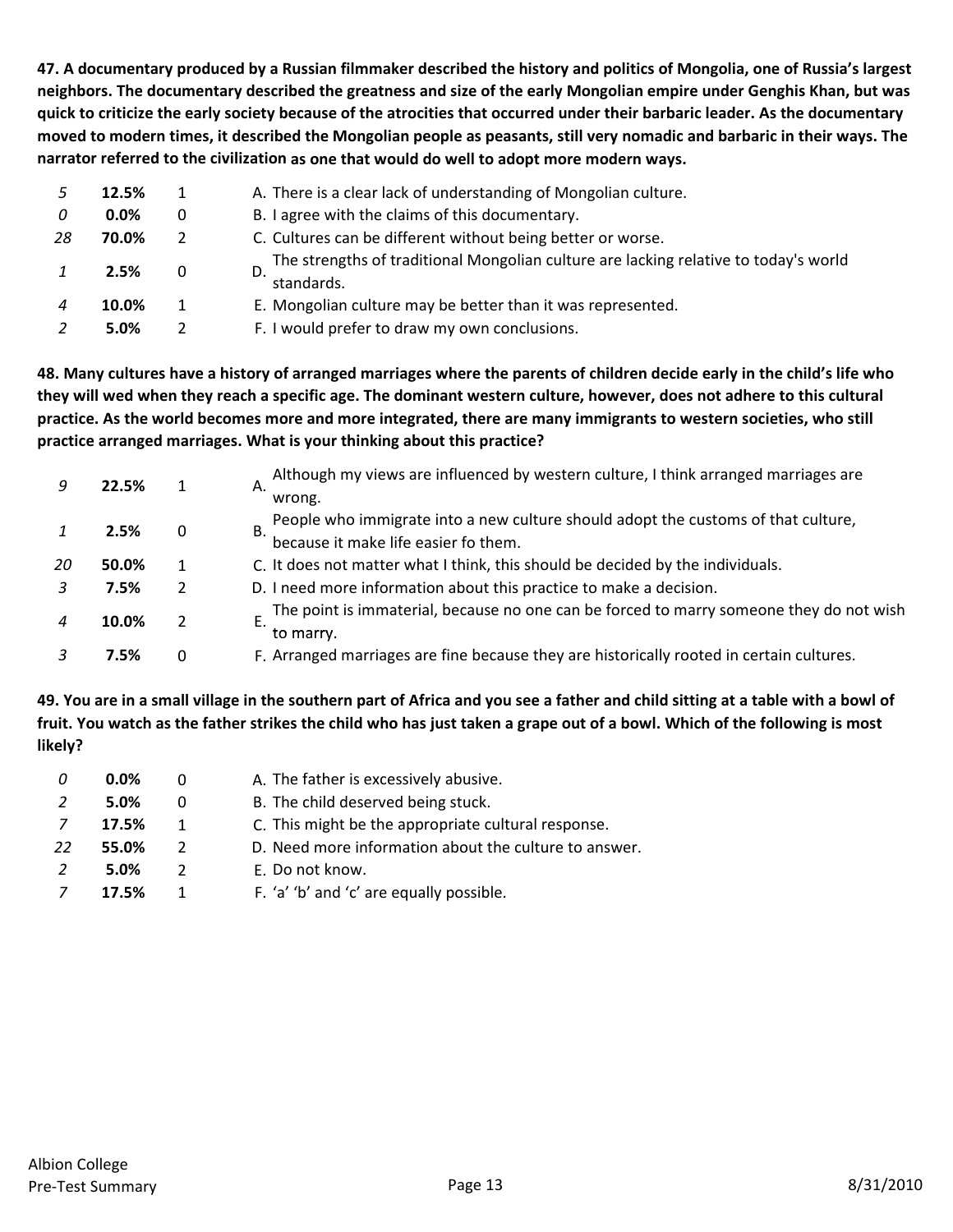47. A documentary produced by a Russian filmmaker described the history and politics of Mongolia, one of Russia's largest neighbors. The documentary described the greatness and size of the early Mongolian empire under Genghis Khan, but was quick to criticize the early society because of the atrocities that occurred under their barbaric leader. As the documentary moved to modern times, it described the Mongolian people as peasants, still very nomadic and barbaric in their ways. The **narrator referred to the civilization as one that would do well to adopt more modern ways.**

|    | 12.5%   |   | A. There is a clear lack of understanding of Mongolian culture.                                    |
|----|---------|---|----------------------------------------------------------------------------------------------------|
| 0  | $0.0\%$ | 0 | B. I agree with the claims of this documentary.                                                    |
| 28 | 70.0%   | 2 | C. Cultures can be different without being better or worse.                                        |
|    | 2.5%    | 0 | The strengths of traditional Mongolian culture are lacking relative to today's world<br>standards. |
|    | 10.0%   |   | E. Mongolian culture may be better than it was represented.                                        |
|    | 5.0%    |   | F. I would prefer to draw my own conclusions.                                                      |

48. Many cultures have a history of arranged marriages where the parents of children decide early in the child's life who they will wed when they reach a specific age. The dominant western culture, however, does not adhere to this cultural practice. As the world becomes more and more integrated, there are many immigrants to western societies, who still **practice arranged marriages. What is your thinking about this practice?**

|    | 22.5% |                | Although my views are influenced by western culture, I think arranged marriages are<br>Α.            |
|----|-------|----------------|------------------------------------------------------------------------------------------------------|
|    |       |                | wrong.                                                                                               |
|    | 2.5%  | 0              | People who immigrate into a new culture should adopt the customs of that culture,<br>В.              |
|    |       |                | because it make life easier fo them.                                                                 |
| 20 | 50.0% |                | C. It does not matter what I think, this should be decided by the individuals.                       |
|    | 7.5%  | $\overline{2}$ | D. I need more information about this practice to make a decision.                                   |
|    | 10.0% |                | The point is immaterial, because no one can be forced to marry someone they do not wish<br>to marry. |
|    | 7.5%  | $\Omega$       | F. Arranged marriages are fine because they are historically rooted in certain cultures.             |

49. You are in a small village in the southern part of Africa and you see a father and child sitting at a table with a bowl of fruit. You watch as the father strikes the child who has just taken a grape out of a bowl. Which of the following is most **likely?**

| 0  | $0.0\%$ |               | A. The father is excessively abusive.                 |
|----|---------|---------------|-------------------------------------------------------|
|    | 5.0%    | $\Omega$      | B. The child deserved being stuck.                    |
| 7  | 17.5%   | 1             | C. This might be the appropriate cultural response.   |
| 22 | 55.0%   | $\mathcal{L}$ | D. Need more information about the culture to answer. |
|    | 5.0%    | $\mathcal{L}$ | E. Do not know.                                       |
|    | 17.5%   |               | F. 'a' 'b' and 'c' are equally possible.              |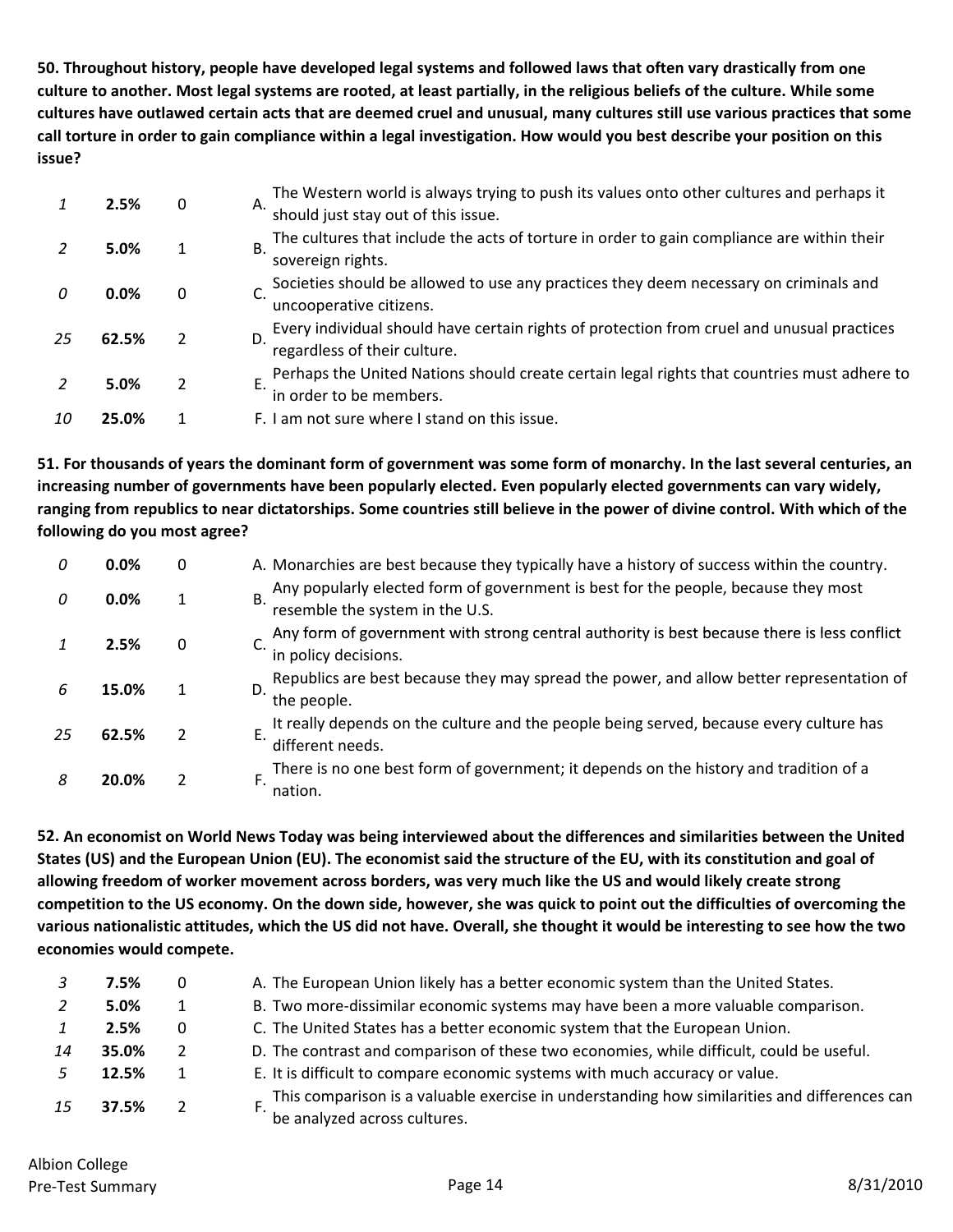50. Throughout history, people have developed legal systems and followed laws that often vary drastically from one culture to another. Most legal systems are rooted, at least partially, in the religious beliefs of the culture. While some cultures have outlawed certain acts that are deemed cruel and unusual, many cultures still use various practices that some call torture in order to gain compliance within a legal investigation. How would you best describe your position on this **issue?**

|    | 2.5%  | 0  | The Western world is always trying to push its values onto other cultures and perhaps it<br>Α.   |
|----|-------|----|--------------------------------------------------------------------------------------------------|
|    |       |    | should just stay out of this issue.                                                              |
|    | 5.0%  |    | The cultures that include the acts of torture in order to gain compliance are within their<br>В. |
|    |       |    | sovereign rights.                                                                                |
|    | 0.0%  | 0  | Societies should be allowed to use any practices they deem necessary on criminals and            |
|    |       |    | uncooperative citizens.                                                                          |
| 25 | 62.5% | D. | Every individual should have certain rights of protection from cruel and unusual practices       |
|    |       |    | regardless of their culture.                                                                     |
|    |       |    | Perhaps the United Nations should create certain legal rights that countries must adhere to      |
|    | 5.0%  |    | in order to be members.                                                                          |
| 10 | 25.0% |    | F. I am not sure where I stand on this issue.                                                    |
|    |       |    |                                                                                                  |

51. For thousands of years the dominant form of government was some form of monarchy. In the last several centuries, an **increasing number of governments have been popularly elected. Even popularly elected governments can vary widely,** ranging from republics to near dictatorships. Some countries still believe in the power of divine control. With which of the **following do you most agree?**

| 0  | 0.0%  | 0 | A. Monarchies are best because they typically have a history of success within the country.                                 |
|----|-------|---|-----------------------------------------------------------------------------------------------------------------------------|
| 0  | 0.0%  |   | Any popularly elected form of government is best for the people, because they most<br>Β.<br>resemble the system in the U.S. |
|    | 2.5%  | 0 | Any form of government with strong central authority is best because there is less conflict<br>in policy decisions.         |
| h  | 15.0% |   | Republics are best because they may spread the power, and allow better representation of<br>D.<br>the people.               |
| 25 | 62.5% |   | It really depends on the culture and the people being served, because every culture has<br>different needs.                 |
| 8  | 20.0% |   | There is no one best form of government; it depends on the history and tradition of a<br>nation.                            |

52. An economist on World News Today was being interviewed about the differences and similarities between the United States (US) and the European Union (EU). The economist said the structure of the EU, with its constitution and goal of allowing freedom of worker movement across borders, was very much like the US and would likely create strong competition to the US economy. On the down side, however, she was quick to point out the difficulties of overcoming the various nationalistic attitudes, which the US did not have. Overall, she thought it would be interesting to see how the two **economies would compete.**

|    | 7.5%  | 0              | A. The European Union likely has a better economic system than the United States.                                            |
|----|-------|----------------|------------------------------------------------------------------------------------------------------------------------------|
|    | 5.0%  |                | B. Two more-dissimilar economic systems may have been a more valuable comparison.                                            |
|    | 2.5%  | 0              | C. The United States has a better economic system that the European Union.                                                   |
| 14 | 35.0% | 2              | D. The contrast and comparison of these two economies, while difficult, could be useful.                                     |
|    | 12.5% |                | E. It is difficult to compare economic systems with much accuracy or value.                                                  |
| 15 | 37.5% | $\overline{2}$ | This comparison is a valuable exercise in understanding how similarities and differences can<br>be analyzed across cultures. |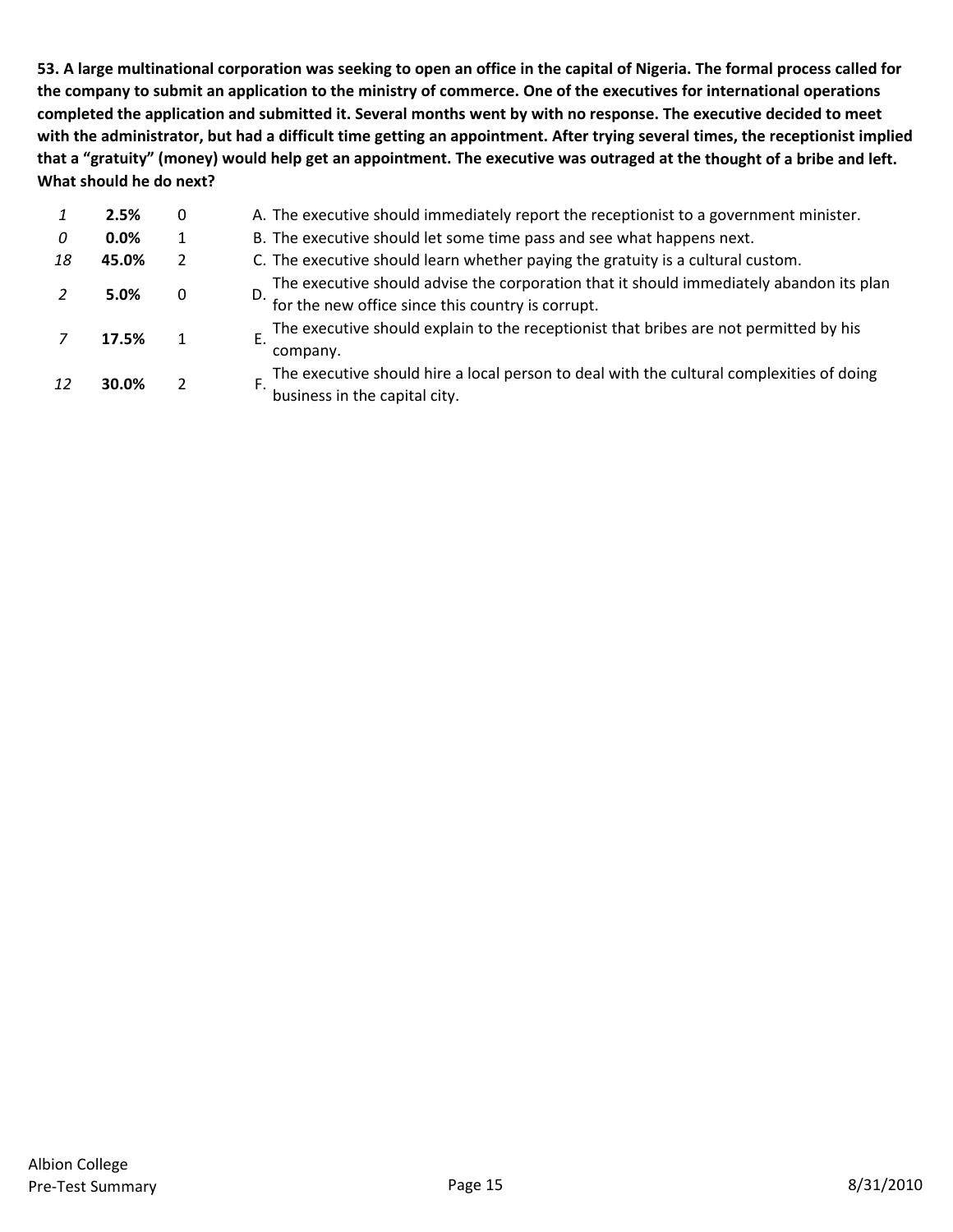53. A large multinational corporation was seeking to open an office in the capital of Nigeria. The formal process called for the company to submit an application to the ministry of commerce. One of the executives for international operations completed the application and submitted it. Several months went by with no response. The executive decided to meet with the administrator, but had a difficult time getting an appointment. After trying several times, the receptionist implied that a "gratuity" (money) would help get an appointment. The executive was outraged at the thought of a bribe and left. **What should he do next?**

| The executive should advise the corporation that it should immediately abandon its plan  |
|------------------------------------------------------------------------------------------|
| The executive should explain to the receptionist that bribes are not permitted by his    |
| The executive should hire a local person to deal with the cultural complexities of doing |
|                                                                                          |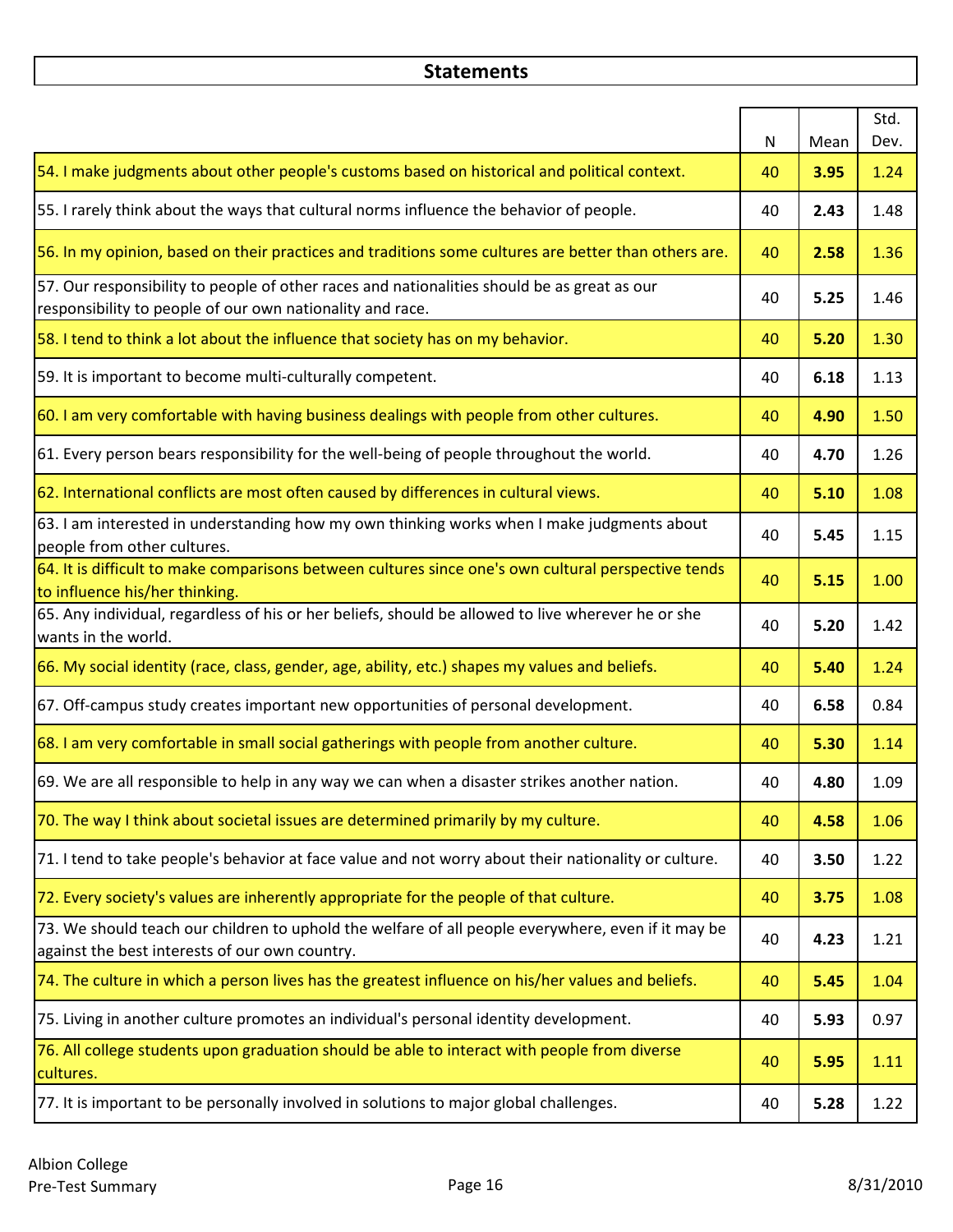# **Statements**

|                                                                                                                                                          | $\mathsf{N}$ | Mean | Std.<br>Dev. |
|----------------------------------------------------------------------------------------------------------------------------------------------------------|--------------|------|--------------|
| 54. I make judgments about other people's customs based on historical and political context.                                                             | 40           | 3.95 | 1.24         |
| 55. I rarely think about the ways that cultural norms influence the behavior of people.                                                                  | 40           | 2.43 | 1.48         |
| 56. In my opinion, based on their practices and traditions some cultures are better than others are.                                                     | 40           | 2.58 | 1.36         |
| 57. Our responsibility to people of other races and nationalities should be as great as our<br>responsibility to people of our own nationality and race. | 40           | 5.25 | 1.46         |
| 58. I tend to think a lot about the influence that society has on my behavior.                                                                           | 40           | 5.20 | 1.30         |
| 59. It is important to become multi-culturally competent.                                                                                                | 40           | 6.18 | 1.13         |
| 60. I am very comfortable with having business dealings with people from other cultures.                                                                 | 40           | 4.90 | 1.50         |
| 61. Every person bears responsibility for the well-being of people throughout the world.                                                                 | 40           | 4.70 | 1.26         |
| 62. International conflicts are most often caused by differences in cultural views.                                                                      | 40           | 5.10 | 1.08         |
| 63. I am interested in understanding how my own thinking works when I make judgments about<br>people from other cultures.                                | 40           | 5.45 | 1.15         |
| 64. It is difficult to make comparisons between cultures since one's own cultural perspective tends<br>to influence his/her thinking.                    | 40           | 5.15 | 1.00         |
| 65. Any individual, regardless of his or her beliefs, should be allowed to live wherever he or she<br>wants in the world.                                | 40           | 5.20 | 1.42         |
| 66. My social identity (race, class, gender, age, ability, etc.) shapes my values and beliefs.                                                           | 40           | 5.40 | 1.24         |
| 67. Off-campus study creates important new opportunities of personal development.                                                                        | 40           | 6.58 | 0.84         |
| 68. I am very comfortable in small social gatherings with people from another culture.                                                                   | 40           | 5.30 | 1.14         |
| 69. We are all responsible to help in any way we can when a disaster strikes another nation.                                                             | 40           | 4.80 | 1.09         |
| 70. The way I think about societal issues are determined primarily by my culture.                                                                        | 40           | 4.58 | 1.06         |
| 71. I tend to take people's behavior at face value and not worry about their nationality or culture.                                                     | 40           | 3.50 | 1.22         |
| 72. Every society's values are inherently appropriate for the people of that culture.                                                                    | 40           | 3.75 | 1.08         |
| 73. We should teach our children to uphold the welfare of all people everywhere, even if it may be<br>against the best interests of our own country.     | 40           | 4.23 | 1.21         |
| 74. The culture in which a person lives has the greatest influence on his/her values and beliefs.                                                        | 40           | 5.45 | 1.04         |
| 75. Living in another culture promotes an individual's personal identity development.                                                                    | 40           | 5.93 | 0.97         |
| 76. All college students upon graduation should be able to interact with people from diverse<br>cultures.                                                | 40           | 5.95 | 1.11         |
| 77. It is important to be personally involved in solutions to major global challenges.                                                                   | 40           | 5.28 | 1.22         |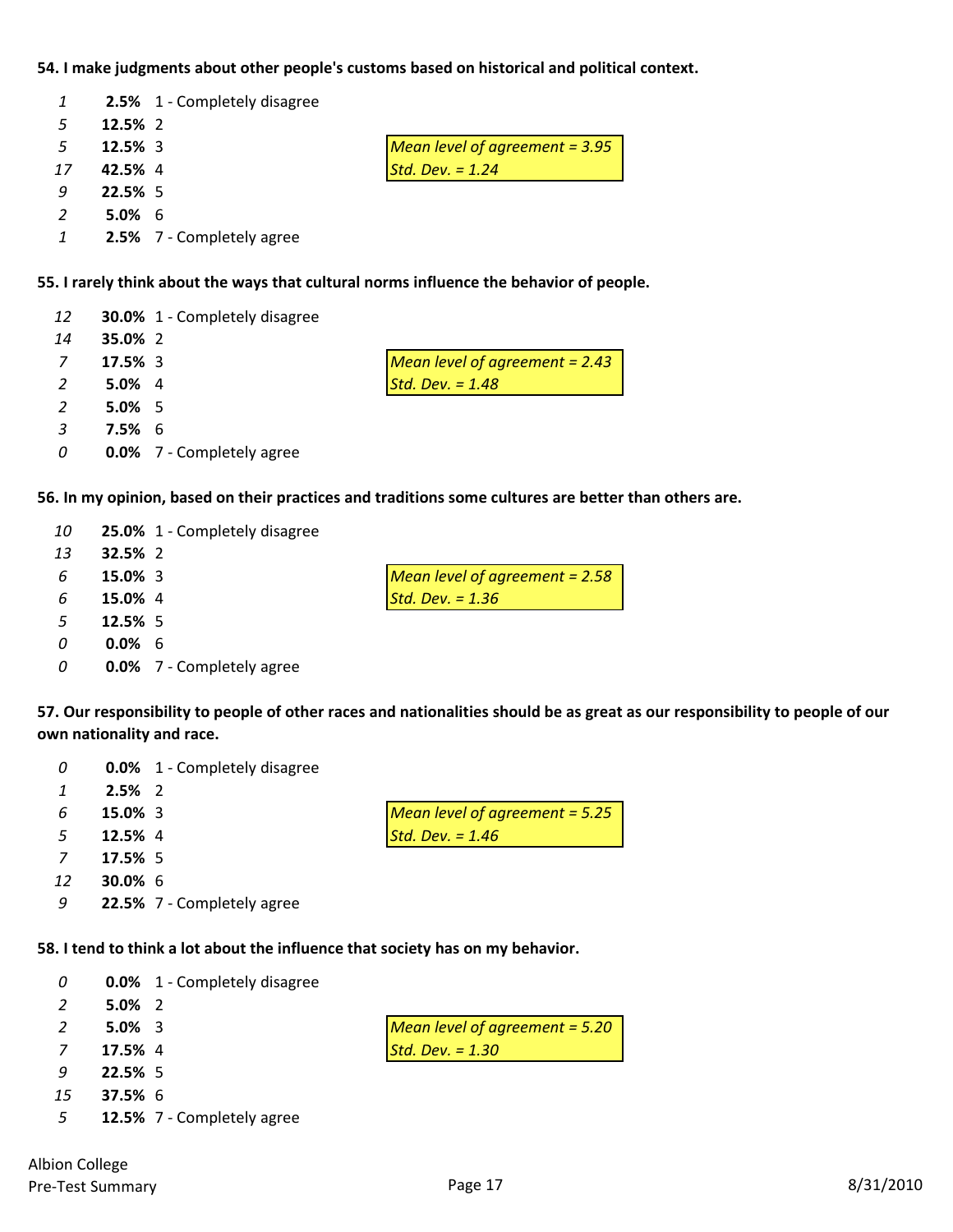# **54. I make judgments about other people's customs based on historical and political context.**

|               |            | 2.5% 1 - Completely disagree |                                  |
|---------------|------------|------------------------------|----------------------------------|
| -5            | 12.5% 2    |                              |                                  |
| -5            | $12.5\%$ 3 |                              | Mean level of agreement = $3.95$ |
| 17            | 42.5% 4    |                              | Std. Dev. $= 1.24$               |
| -9            | 22.5% 5    |                              |                                  |
| $\mathcal{L}$ | $5.0\%$ 6  |                              |                                  |
|               |            | 2.5% 7 - Completely agree    |                                  |

# **55. I rarely think about the ways that cultural norms influence the behavior of people.**

| 14<br>35.0% 2<br>17.5% 3<br>7<br>Std. Dev. $= 1.48$<br>$5.0\%$ 4<br>$5.0\%$ 5<br>-3<br>$7.5\%$ 6<br><b>0.0%</b> 7 - Completely agree<br>0 | 12 | <b>30.0%</b> 1 - Completely disagree |                                  |
|-------------------------------------------------------------------------------------------------------------------------------------------|----|--------------------------------------|----------------------------------|
|                                                                                                                                           |    |                                      |                                  |
|                                                                                                                                           |    |                                      | Mean level of agreement = $2.43$ |
|                                                                                                                                           |    |                                      |                                  |
|                                                                                                                                           |    |                                      |                                  |
|                                                                                                                                           |    |                                      |                                  |
|                                                                                                                                           |    |                                      |                                  |

**56. In my opinion, based on their practices and traditions some cultures are better than others are.**

| 10           |                | 25.0% 1 - Completely disagree    |                                  |
|--------------|----------------|----------------------------------|----------------------------------|
| 13           | <b>32.5%</b> 2 |                                  |                                  |
| 6            | 15.0% 3        |                                  | Mean level of agreement $= 2.58$ |
| 6            | 15.0% 4        |                                  | Std. Dev. $= 1.36$               |
| .5           | 12.5% 5        |                                  |                                  |
| <sup>0</sup> | $0.0\%$ 6      |                                  |                                  |
| 0            |                | <b>0.0%</b> 7 - Completely agree |                                  |

57. Our responsibility to people of other races and nationalities should be as great as our responsibility to people of our **own nationality and race.**

|              | $2.5\%$ 2  |                            |                                  |
|--------------|------------|----------------------------|----------------------------------|
| 6            | 15.0% 3    |                            | Mean level of agreement $= 5.25$ |
| .5           | 12.5% 4    |                            | Std. Dev. $= 1.46$               |
| <sup>7</sup> | 17.5% 5    |                            |                                  |
| 12           | $30.0\%$ 6 |                            |                                  |
| 9            |            | 22.5% 7 - Completely agree |                                  |

**58. I tend to think a lot about the influence that society has on my behavior.**

| 0        |                | <b>0.0%</b> 1 - Completely disagree |                                  |
|----------|----------------|-------------------------------------|----------------------------------|
| 2        | $5.0\%$ 2      |                                     |                                  |
| 2        | $5.0\%$ 3      |                                     | Mean level of agreement $= 5.20$ |
| <b>7</b> | 17.5% 4        |                                     | Std. Dev. $= 1.30$               |
| 9        | 22.5% 5        |                                     |                                  |
| 15       | <b>37.5% 6</b> |                                     |                                  |
|          |                |                                     |                                  |

**0.0%** 1 ‐ Completely disagree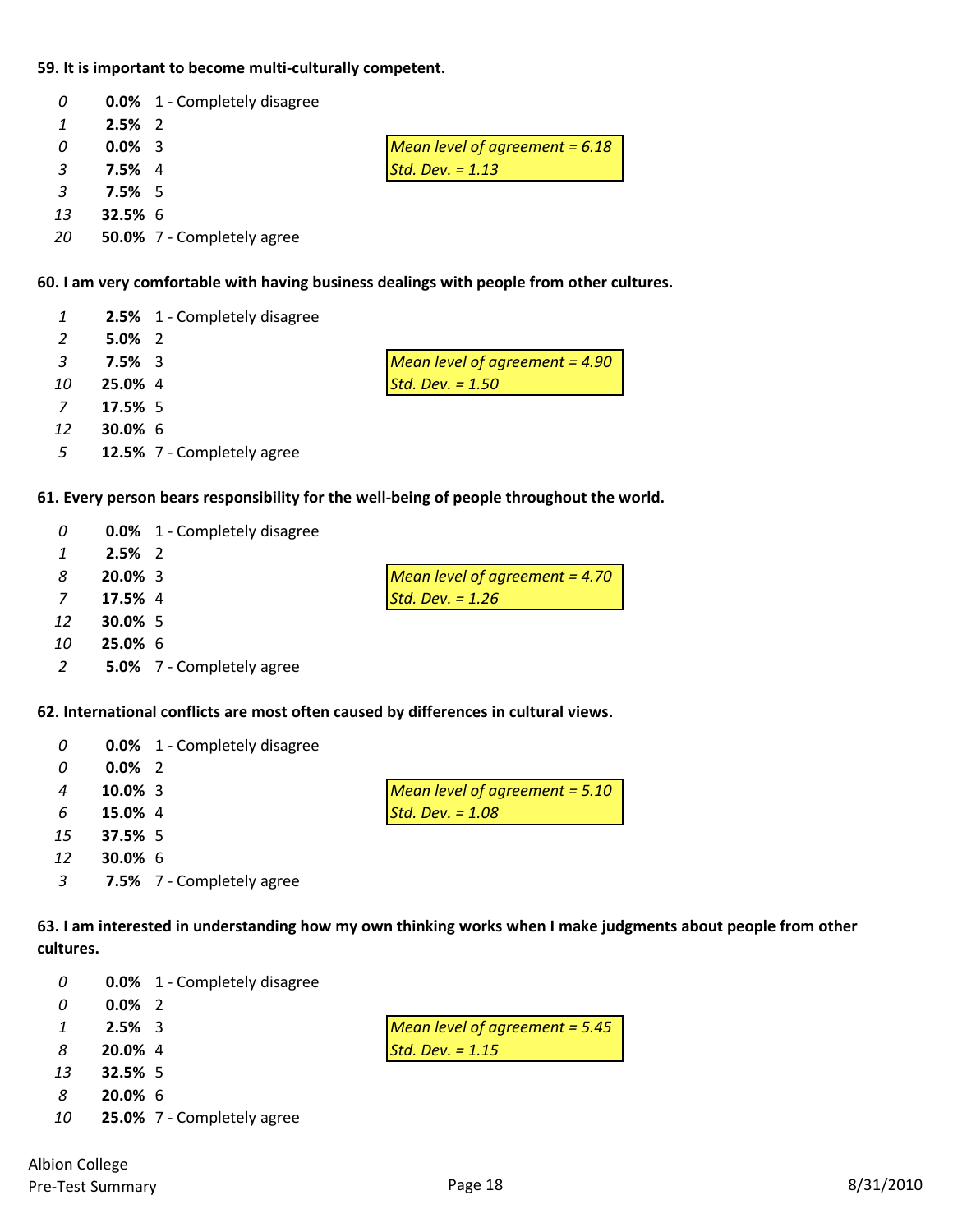# **59. It is important to become multi‐culturally competent.**

| 0              |           | <b>0.0%</b> 1 - Completely disagree |                                  |
|----------------|-----------|-------------------------------------|----------------------------------|
|                | $2.5\%$ 2 |                                     |                                  |
| 0              | $0.0\%$ 3 |                                     | Mean level of agreement = $6.18$ |
| $\mathbf{R}$   | $7.5\%$ 4 |                                     | Std. Dev. $= 1.13$               |
| $\overline{3}$ | $7.5\%$ 5 |                                     |                                  |
| 13             | $32.5%$ 6 |                                     |                                  |
| -20            |           | 50.0% 7 - Completely agree          |                                  |

#### **60. I am very comfortable with having business dealings with people from other cultures.**

|                |            | 2.5% 1 - Completely disagree |                                  |
|----------------|------------|------------------------------|----------------------------------|
| 2              | $5.0\%$ 2  |                              |                                  |
| $\mathbf{3}$   | $7.5\%$ 3  |                              | Mean level of agreement = $4.90$ |
| 10             | 25.0% 4    |                              | Std. Dev. $= 1.50$               |
| $\overline{z}$ | 17.5% 5    |                              |                                  |
| 12             | $30.0\%$ 6 |                              |                                  |
| 5              |            | 12.5% 7 - Completely agree   |                                  |
|                |            |                              |                                  |

# **61. Every person bears responsibility for the well‐being of people throughout the world.**

| 0              |                | <b>0.0%</b> 1 - Completely disagree |                                  |
|----------------|----------------|-------------------------------------|----------------------------------|
|                | $2.5\%$ 2      |                                     |                                  |
| 8              | $20.0\%$ 3     |                                     | Mean level of agreement = $4.70$ |
| $\overline{7}$ | 17.5% 4        |                                     | Std. Dev. $= 1.26$               |
| 12             | $30.0\%$ 5     |                                     |                                  |
| 10             | <b>25.0% 6</b> |                                     |                                  |

**5.0%** 7 ‐ Completely agree

#### **62. International conflicts are most often caused by differences in cultural views.**

| 0  |            | <b>0.0%</b> 1 - Completely disagree |                                  |
|----|------------|-------------------------------------|----------------------------------|
| 0  | $0.0\%$ 2  |                                     |                                  |
| 4  | $10.0\%$ 3 |                                     | Mean level of agreement $= 5.10$ |
| 6  | 15.0% 4    |                                     | Std. Dev. $= 1.08$               |
| 15 | 37.5% 5    |                                     |                                  |
| 12 | $30.0\%$ 6 |                                     |                                  |
| 3  |            | 7.5% 7 - Completely agree           |                                  |

63. I am interested in understanding how my own thinking works when I make judgments about people from other **cultures.**

| 0  |                | <b>0.0%</b> 1 - Completely disagree |                                  |
|----|----------------|-------------------------------------|----------------------------------|
| 0  | $0.0\%$ 2      |                                     |                                  |
| 1  | $2.5\%$ 3      |                                     | Mean level of agreement $= 5.45$ |
| -8 | 20.0% 4        |                                     | Std. Dev. $= 1.15$               |
| 13 | <b>32.5%</b> 5 |                                     |                                  |
| -8 | $20.0\%$ 6     |                                     |                                  |
| 10 |                | 25.0% 7 - Completely agree          |                                  |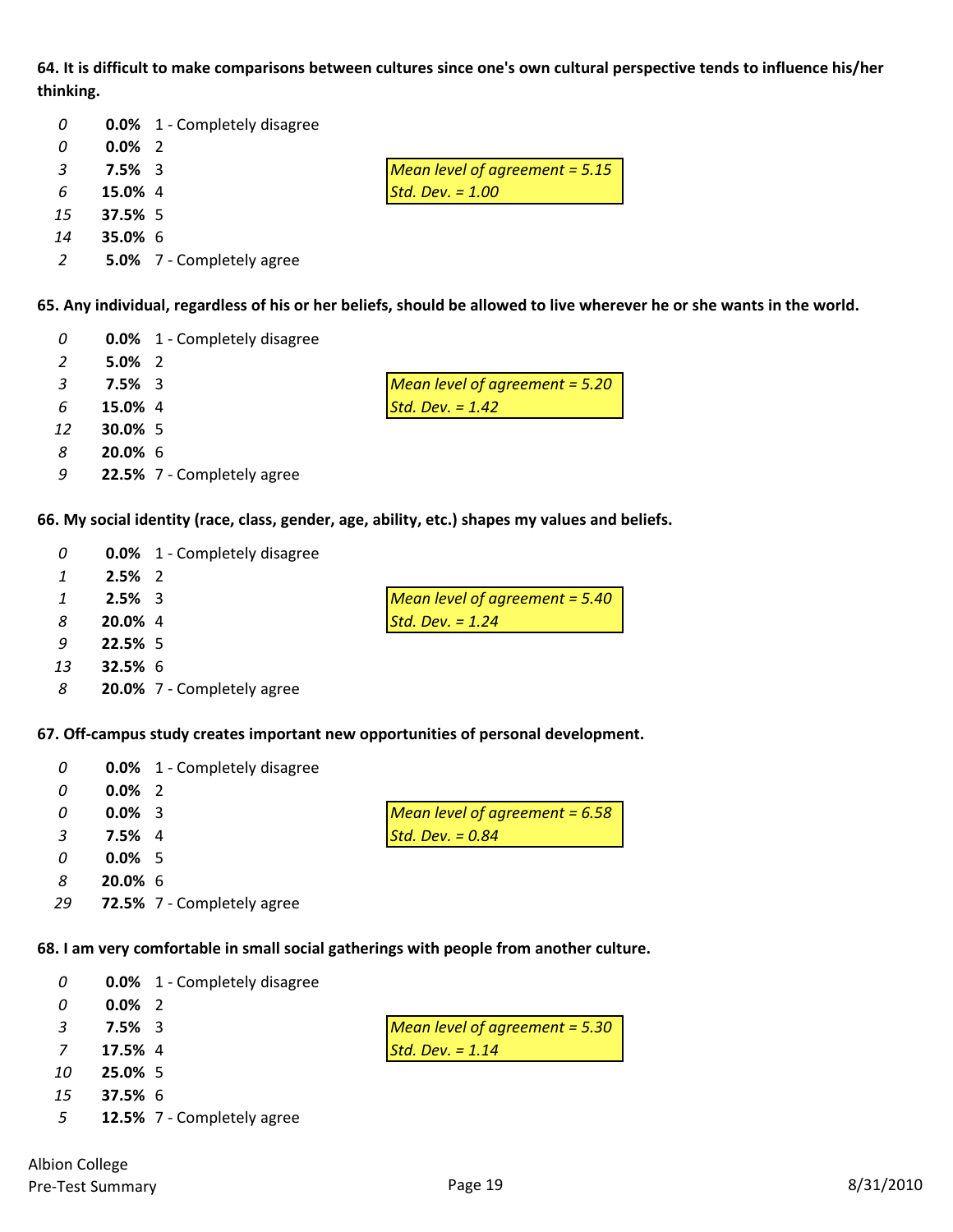64. It is difficult to make comparisons between cultures since one's own cultural perspective tends to influence his/her **thinking.**

| 0              |                | <b>0.0%</b> 1 - Completely disagree |                                  |
|----------------|----------------|-------------------------------------|----------------------------------|
| 0              | $0.0\%$ 2      |                                     |                                  |
| -3             | $7.5\%$ 3      |                                     | Mean level of agreement = $5.15$ |
| 6              | 15.0% 4        |                                     | Std. Dev. $= 1.00$               |
| 15             | 37.5% 5        |                                     |                                  |
| 14             | <b>35.0% 6</b> |                                     |                                  |
| $\overline{2}$ |                | <b>5.0%</b> 7 - Completely agree    |                                  |

65. Any individual, regardless of his or her beliefs, should be allowed to live wherever he or she wants in the world.

| 0              |            | <b>0.0%</b> 1 - Completely disagree |                                  |
|----------------|------------|-------------------------------------|----------------------------------|
| 2              | $5.0\%$ 2  |                                     |                                  |
| $\overline{3}$ | $7.5\%$ 3  |                                     | Mean level of agreement = $5.20$ |
| 6              | 15.0% 4    |                                     | Std. Dev. $= 1.42$               |
| 12             | 30.0% 5    |                                     |                                  |
| 8              | $20.0\%$ 6 |                                     |                                  |
| 9              |            | 22.5% 7 - Completely agree          |                                  |
|                |            |                                     |                                  |

**66. My social identity (race, class, gender, age, ability, etc.) shapes my values and beliefs.**

| 0  |           | <b>0.0%</b> 1 - Completely disagree |                                  |
|----|-----------|-------------------------------------|----------------------------------|
| 1  | $2.5\%$ 2 |                                     |                                  |
| 1  | $2.5\%$ 3 |                                     | Mean level of agreement $= 5.40$ |
| 8  | 20.0% 4   |                                     | Std. Dev. $= 1.24$               |
| q  | 22.5% 5   |                                     |                                  |
| 13 | $32.5%$ 6 |                                     |                                  |
| 8  |           | 20.0% 7 - Completely agree          |                                  |
|    |           |                                     |                                  |

**67. Off‐campus study creates important new opportunities of personal development.**

| 0            |            | <b>0.0%</b> 1 - Completely disagree |                                  |
|--------------|------------|-------------------------------------|----------------------------------|
| 0            | $0.0\%$ 2  |                                     |                                  |
| 0            | $0.0\%$ 3  |                                     | Mean level of agreement $= 6.58$ |
| $\mathbf{R}$ | $7.5\%$ 4  |                                     | Std. Dev. $= 0.84$               |
| 0            | $0.0\%$ 5  |                                     |                                  |
| 8            | $20.0\%$ 6 |                                     |                                  |
| 29           |            | 72.5% 7 - Completely agree          |                                  |

**68. I am very comfortable in small social gatherings with people from another culture.**

| 0  |                | <b>0.0%</b> 1 - Completely disagree |                                  |
|----|----------------|-------------------------------------|----------------------------------|
| 0  | $0.0\%$ 2      |                                     |                                  |
| 3  | $7.5\%$ 3      |                                     | Mean level of agreement $=$ 5.30 |
| 7  | 17.5% 4        |                                     | Std. Dev. $= 1.14$               |
| 10 | 25.0% 5        |                                     |                                  |
| 15 | <b>37.5%</b> 6 |                                     |                                  |
| 5  |                | 12.5% 7 - Completely agree          |                                  |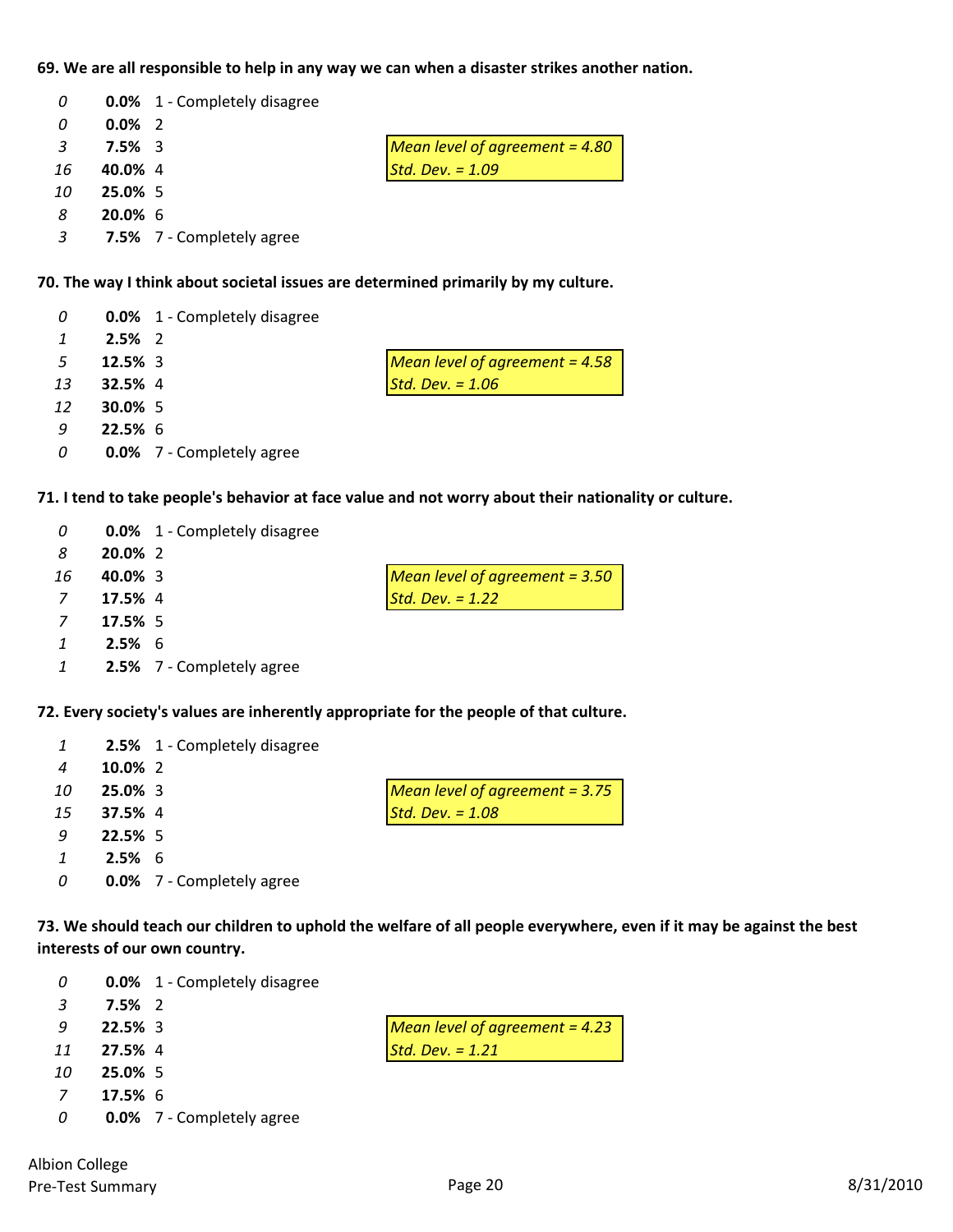# **69. We are all responsible to help in any way we can when a disaster strikes another nation.**

| 0              |            | <b>0.0%</b> 1 - Completely disagree |                                  |
|----------------|------------|-------------------------------------|----------------------------------|
| 0              | $0.0\%$ 2  |                                     |                                  |
| $\overline{3}$ | $7.5\%$ 3  |                                     | Mean level of agreement = $4.80$ |
| 16             | 40.0% 4    |                                     | Std. Dev. $= 1.09$               |
| 10             | 25.0% 5    |                                     |                                  |
| 8              | $20.0\%$ 6 |                                     |                                  |
| $\overline{3}$ |            | 7.5% 7 - Completely agree           |                                  |

#### **70. The way I think about societal issues are determined primarily by my culture.**

| 0  |                | <b>0.0%</b> 1 - Completely disagree |                                  |
|----|----------------|-------------------------------------|----------------------------------|
| 1  | $2.5\%$ 2      |                                     |                                  |
| -5 | $12.5\%$ 3     |                                     | Mean level of agreement = $4.58$ |
| 13 | <b>32.5%</b> 4 |                                     | Std. Dev. $= 1.06$               |
| 12 | $30.0\%$ 5     |                                     |                                  |
| -9 | $22.5%$ 6      |                                     |                                  |
| 0  |                | <b>0.0%</b> 7 - Completely agree    |                                  |

# 71. I tend to take people's behavior at face value and not worry about their nationality or culture.

| 0        |          | <b>0.0%</b> 1 - Completely disagree |                                  |
|----------|----------|-------------------------------------|----------------------------------|
| -8       | 20.0% 2  |                                     |                                  |
| 16       | 40.0% 3  |                                     | Mean level of agreement $= 3.50$ |
| 7        | 17.5% 4  |                                     | $Std. Dev. = 1.22$               |
| <b>7</b> | 17.5% 5  |                                     |                                  |
|          | $2.5%$ 6 |                                     |                                  |

| - 1 |  | 2.5% 7 - Completely agree |
|-----|--|---------------------------|
|-----|--|---------------------------|

# **72. Every society's values are inherently appropriate for the people of that culture.**

| 1  |          | 2.5% 1 - Completely disagree     |                                  |
|----|----------|----------------------------------|----------------------------------|
| 4  | 10.0% 2  |                                  |                                  |
| 10 | 25.0% 3  |                                  | Mean level of agreement $= 3.75$ |
| 15 | 37.5% 4  |                                  | Std. Dev. $= 1.08$               |
| 9  | 22.5% 5  |                                  |                                  |
|    | $2.5%$ 6 |                                  |                                  |
| 0  |          | <b>0.0%</b> 7 - Completely agree |                                  |

73. We should teach our children to uphold the welfare of all people everywhere, even if it may be against the best **interests of our own country.**

| $\boldsymbol{0}$ |         | <b>0.0%</b> 1 - Completely disagree |                                  |
|------------------|---------|-------------------------------------|----------------------------------|
| -3               | 7.5% 2  |                                     |                                  |
| -9               | 22.5%3  |                                     | Mean level of agreement = $4.23$ |
| 11               | 27.5% 4 |                                     | Std. Dev. $= 1.21$               |
| 10               | 25.0% 5 |                                     |                                  |
|                  | 17.5% 6 |                                     |                                  |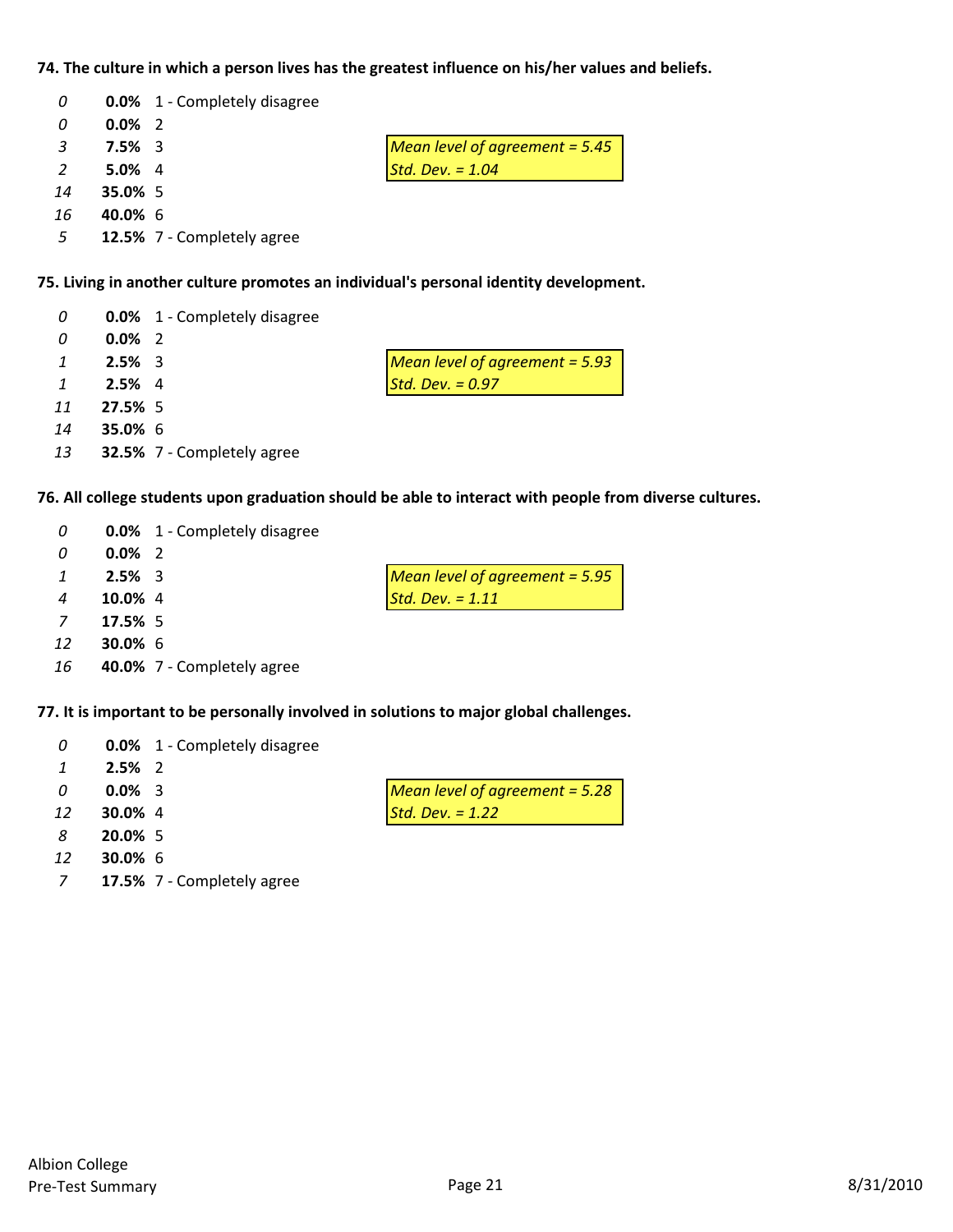# **74. The culture in which a person lives has the greatest influence on his/her values and beliefs.**

| 0   |           | <b>0.0%</b> 1 - Completely disagree |                                  |
|-----|-----------|-------------------------------------|----------------------------------|
| 0   | $0.0\%$ 2 |                                     |                                  |
| -3  | $7.5\%$ 3 |                                     | Mean level of agreement = $5.45$ |
| 2   | $5.0\%$ 4 |                                     | Std. Dev. $= 1.04$               |
| 14  | 35.0% 5   |                                     |                                  |
| 16  | 40.0% 6   |                                     |                                  |
| - 5 |           | 12.5% 7 - Completely agree          |                                  |

# **75. Living in another culture promotes an individual's personal identity development.**

| 0              |                | <b>0.0%</b> 1 - Completely disagree |                                       |
|----------------|----------------|-------------------------------------|---------------------------------------|
| 0              | $0.0\%$ 2      |                                     |                                       |
| $\mathcal{I}$  | $2.5\%$ 3      |                                     | <b>Mean level of agreement = 5.93</b> |
| $\overline{1}$ | $2.5\%$ 4      |                                     | Std. Dev. $= 0.97$                    |
| 11             | 27.5% 5        |                                     |                                       |
| 14             | <b>35.0% 6</b> |                                     |                                       |
| 13             |                | <b>32.5%</b> 7 - Completely agree   |                                       |

# **76. All college students upon graduation should be able to interact with people from diverse cultures.**

| 0              |            | <b>0.0%</b> 1 - Completely disagree |                                  |
|----------------|------------|-------------------------------------|----------------------------------|
| 0              | $0.0\%$ 2  |                                     |                                  |
| 1              | $2.5\%$ 3  |                                     | Mean level of agreement $=$ 5.95 |
| 4              | 10.0% 4    |                                     | Std. Dev. $= 1.11$               |
| $\overline{7}$ | 17.5% 5    |                                     |                                  |
| 12             | $30.0\%$ 6 |                                     |                                  |

# **40.0%** 7 ‐ Completely agree

#### **77. It is important to be personally involved in solutions to major global challenges.**

| 0  |                | <b>0.0%</b> 1 - Completely disagree |                                  |
|----|----------------|-------------------------------------|----------------------------------|
|    | $2.5\%$ 2      |                                     |                                  |
| n  | $0.0\%$ 3      |                                     | Mean level of agreement $= 5.28$ |
| 12 | <b>30.0%</b> 4 |                                     | Std. Dev. $= 1.22$               |
| 8  | 20.0% 5        |                                     |                                  |
| 12 | $30.0\%$ 6     |                                     |                                  |

**17.5%** 7 ‐ Completely agree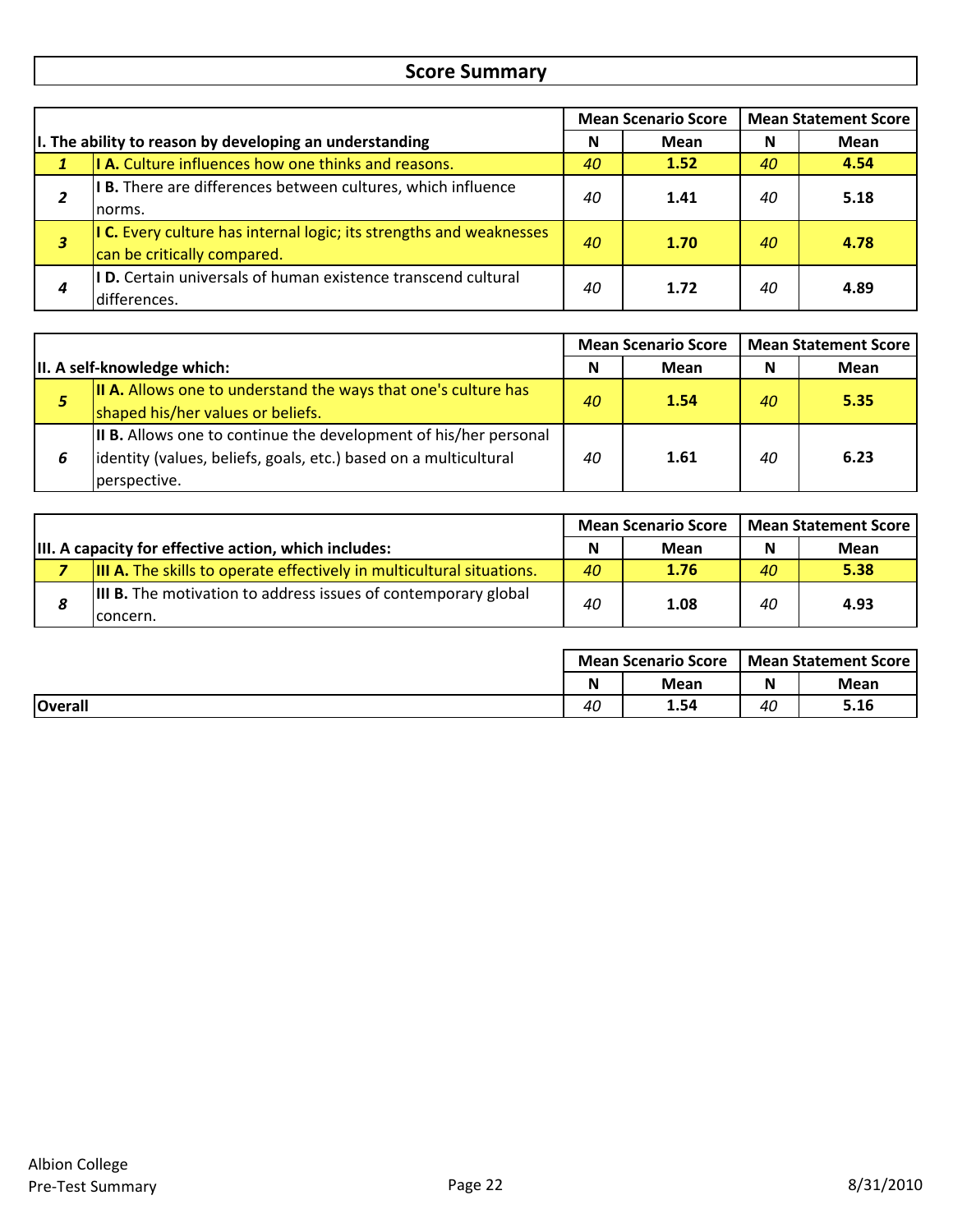# **Score Summary**

|   | <b>Mean Scenario Score</b>                                                                         |    | <b>Mean Statement Score</b> |    |      |
|---|----------------------------------------------------------------------------------------------------|----|-----------------------------|----|------|
|   | I. The ability to reason by developing an understanding                                            |    | Mean                        | N  | Mean |
|   | I A. Culture influences how one thinks and reasons.                                                | 40 | 1.52                        | 40 | 4.54 |
| 2 | I B. There are differences between cultures, which influence<br>norms.                             | 40 | 1.41                        | 40 | 5.18 |
| з | I C. Every culture has internal logic; its strengths and weaknesses<br>can be critically compared. | 40 | 1.70                        | 40 | 4.78 |
| 4 | <b>ID.</b> Certain universals of human existence transcend cultural<br>differences.                | 40 | 1.72                        | 40 | 4.89 |

|                              |                                                                                                                                                       | <b>Mean Scenario Score</b> |      | <b>Mean Statement Score</b> |             |
|------------------------------|-------------------------------------------------------------------------------------------------------------------------------------------------------|----------------------------|------|-----------------------------|-------------|
| III. A self-knowledge which: |                                                                                                                                                       | N                          | Mean | N                           | <b>Mean</b> |
| 5                            | <b>II A.</b> Allows one to understand the ways that one's culture has<br>shaped his/her values or beliefs.                                            | 40 <sup>°</sup>            | 1.54 | 40                          | 5.35        |
|                              | II B. Allows one to continue the development of his/her personal<br>lidentity (values, beliefs, goals, etc.) based on a multicultural<br>perspective. | 40                         | 1.61 | 40                          | 6.23        |

|                                                       |                                                                                   | <b>Mean Scenario Score</b> |      | <b>Mean Statement Score</b> |      |
|-------------------------------------------------------|-----------------------------------------------------------------------------------|----------------------------|------|-----------------------------|------|
| III. A capacity for effective action, which includes: |                                                                                   | N                          | Mean | N                           | Mean |
|                                                       | <b>III A.</b> The skills to operate effectively in multicultural situations.      | 40                         | 1.76 | 40                          | 5.38 |
| 8                                                     | <b>III B.</b> The motivation to address issues of contemporary global<br>concern. | 40                         | 1.08 | 40                          | 4.93 |

|                | <b>Mean Scenario Score</b> |      | Mean Statement Score |             |
|----------------|----------------------------|------|----------------------|-------------|
|                | N                          | Mean | N                    | <b>Mean</b> |
| <b>Overall</b> | 40                         | 1.54 | 40                   | 5.16        |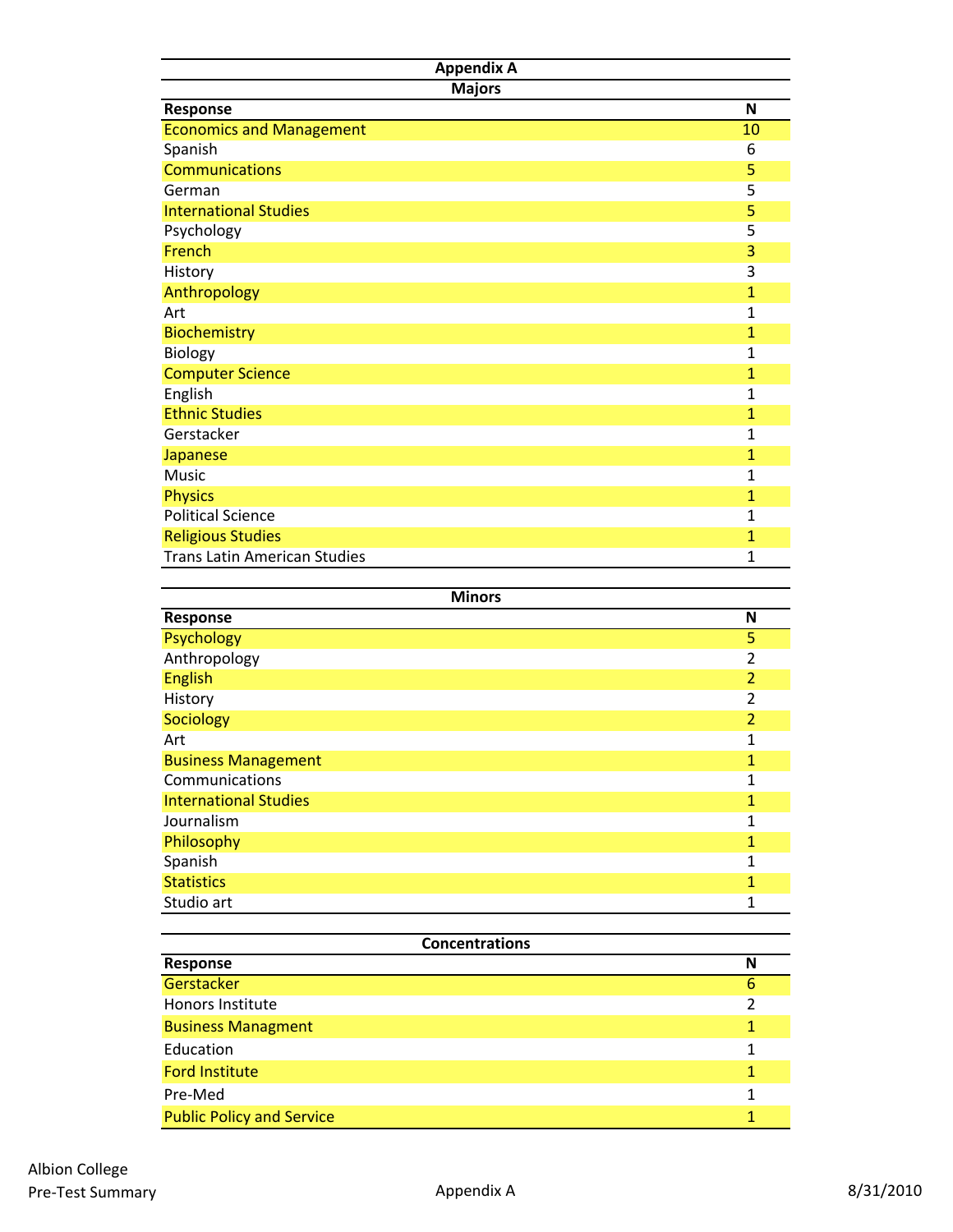| <b>Appendix A</b>                   |                |  |
|-------------------------------------|----------------|--|
| <b>Majors</b>                       |                |  |
| Response                            | N              |  |
| <b>Economics and Management</b>     | 10             |  |
| Spanish                             | 6              |  |
| <b>Communications</b>               | 5              |  |
| German                              | 5              |  |
| <b>International Studies</b>        | 5              |  |
| Psychology                          | 5              |  |
| French                              | 3              |  |
| History                             | 3              |  |
| Anthropology                        | $\overline{1}$ |  |
| Art                                 | $\mathbf 1$    |  |
| <b>Biochemistry</b>                 | 1              |  |
| Biology                             | 1              |  |
| <b>Computer Science</b>             | 1              |  |
| English                             | 1              |  |
| <b>Ethnic Studies</b>               | $\mathbf{1}$   |  |
| Gerstacker                          | $\mathbf{1}$   |  |
| <b>Japanese</b>                     | $\mathbf{1}$   |  |
| <b>Music</b>                        | $\mathbf 1$    |  |
| <b>Physics</b>                      | $\mathbf{1}$   |  |
| <b>Political Science</b>            | 1              |  |
| <b>Religious Studies</b>            | $\mathbf{1}$   |  |
| <b>Trans Latin American Studies</b> | 1              |  |

| <b>Minors</b>                |                |  |  |
|------------------------------|----------------|--|--|
| Response                     | N              |  |  |
| Psychology                   | 5              |  |  |
| Anthropology                 | $\overline{2}$ |  |  |
| <b>English</b>               | $\overline{2}$ |  |  |
| History                      | $\overline{2}$ |  |  |
| Sociology                    | $\overline{2}$ |  |  |
| Art                          | 1              |  |  |
| <b>Business Management</b>   | 1              |  |  |
| Communications               | 1              |  |  |
| <b>International Studies</b> | 1              |  |  |
| Journalism                   | 1              |  |  |
| Philosophy                   | 1              |  |  |
| Spanish                      | 1              |  |  |
| <b>Statistics</b>            | 1              |  |  |
| Studio art                   | 1              |  |  |

| <b>Concentrations</b>            |   |  |  |
|----------------------------------|---|--|--|
| Response                         | N |  |  |
| Gerstacker                       | 6 |  |  |
| <b>Honors Institute</b>          |   |  |  |
| <b>Business Managment</b>        |   |  |  |
| Education                        | 1 |  |  |
| <b>Ford Institute</b>            |   |  |  |
| Pre-Med                          |   |  |  |
| <b>Public Policy and Service</b> |   |  |  |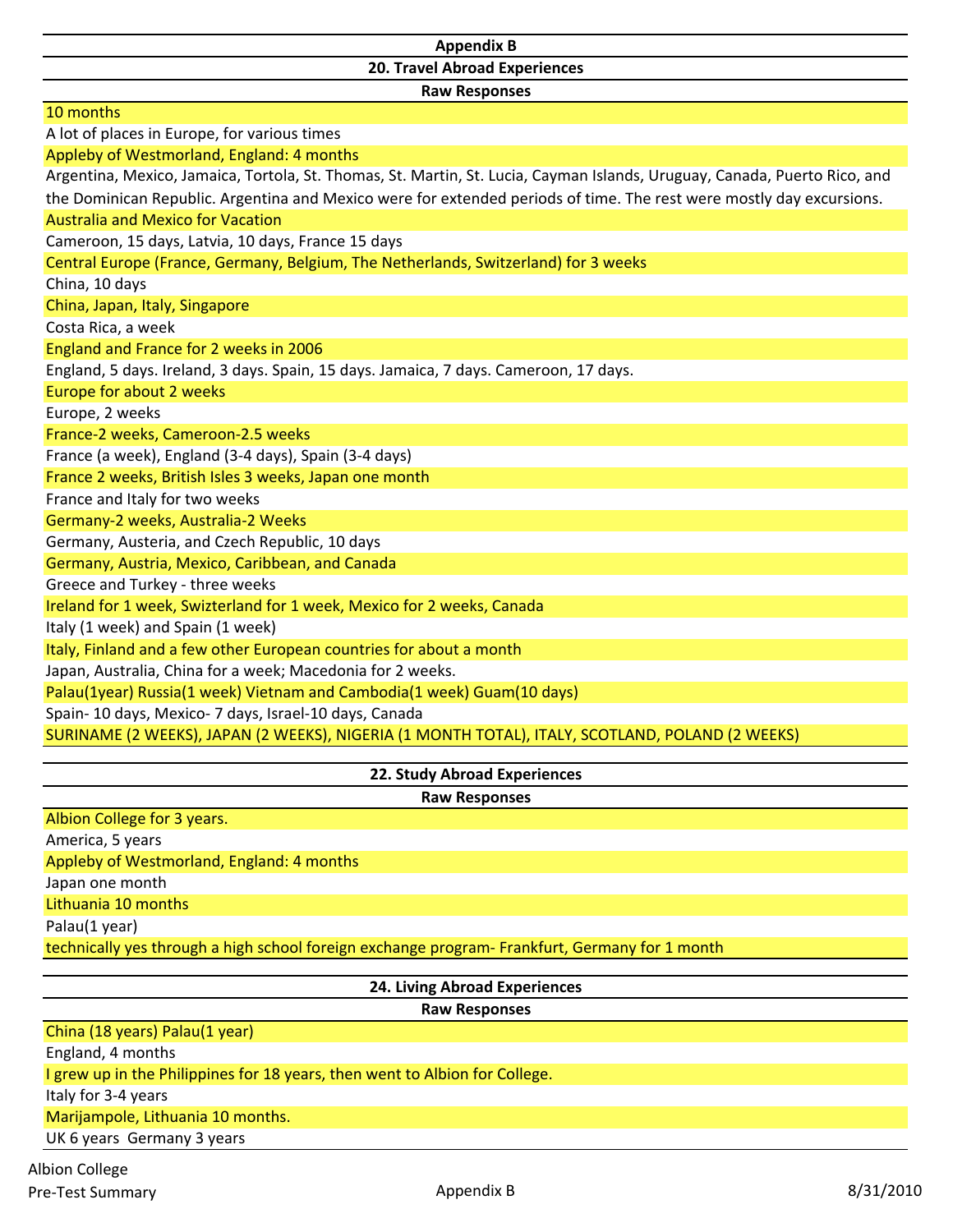# **Appendix B 20. Travel Abroad Experiences**

**Raw Responses**

| 10 months                                                                                                                 |
|---------------------------------------------------------------------------------------------------------------------------|
| A lot of places in Europe, for various times                                                                              |
| Appleby of Westmorland, England: 4 months                                                                                 |
| Argentina, Mexico, Jamaica, Tortola, St. Thomas, St. Martin, St. Lucia, Cayman Islands, Uruguay, Canada, Puerto Rico, and |
| the Dominican Republic. Argentina and Mexico were for extended periods of time. The rest were mostly day excursions.      |
| <b>Australia and Mexico for Vacation</b>                                                                                  |
| Cameroon, 15 days, Latvia, 10 days, France 15 days                                                                        |
| Central Europe (France, Germany, Belgium, The Netherlands, Switzerland) for 3 weeks                                       |
| China, 10 days                                                                                                            |
| China, Japan, Italy, Singapore                                                                                            |
| Costa Rica, a week                                                                                                        |
| England and France for 2 weeks in 2006                                                                                    |
| England, 5 days. Ireland, 3 days. Spain, 15 days. Jamaica, 7 days. Cameroon, 17 days.                                     |
| Europe for about 2 weeks                                                                                                  |
| Europe, 2 weeks                                                                                                           |
| France-2 weeks, Cameroon-2.5 weeks                                                                                        |
| France (a week), England (3-4 days), Spain (3-4 days)                                                                     |
| France 2 weeks, British Isles 3 weeks, Japan one month                                                                    |
| France and Italy for two weeks                                                                                            |
| Germany-2 weeks, Australia-2 Weeks                                                                                        |
| Germany, Austeria, and Czech Republic, 10 days                                                                            |
| Germany, Austria, Mexico, Caribbean, and Canada                                                                           |
| Greece and Turkey - three weeks                                                                                           |
| Ireland for 1 week, Swizterland for 1 week, Mexico for 2 weeks, Canada                                                    |
| Italy (1 week) and Spain (1 week)                                                                                         |
| Italy, Finland and a few other European countries for about a month                                                       |
| Japan, Australia, China for a week; Macedonia for 2 weeks.                                                                |
| Palau(1year) Russia(1 week) Vietnam and Cambodia(1 week) Guam(10 days)                                                    |
| Spain-10 days, Mexico-7 days, Israel-10 days, Canada                                                                      |
| SURINAME (2 WEEKS), JAPAN (2 WEEKS), NIGERIA (1 MONTH TOTAL), ITALY, SCOTLAND, POLAND (2 WEEKS)                           |

**22. Study Abroad Experiences**

**Raw Responses**

Albion College for 3 years.

America, 5 years

Appleby of Westmorland, England: 4 months

Japan one month

Lithuania 10 months

Palau(1 year)

technically yes through a high school foreign exchange program‐ Frankfurt, Germany for 1 month

| 24. Living Abroad Experiences                                               |
|-----------------------------------------------------------------------------|
| <b>Raw Responses</b>                                                        |
| China (18 years) Palau(1 year)                                              |
| England, 4 months                                                           |
| I grew up in the Philippines for 18 years, then went to Albion for College. |
| Italy for 3-4 years                                                         |
| Marijampole, Lithuania 10 months.                                           |
| UK 6 years Germany 3 years                                                  |